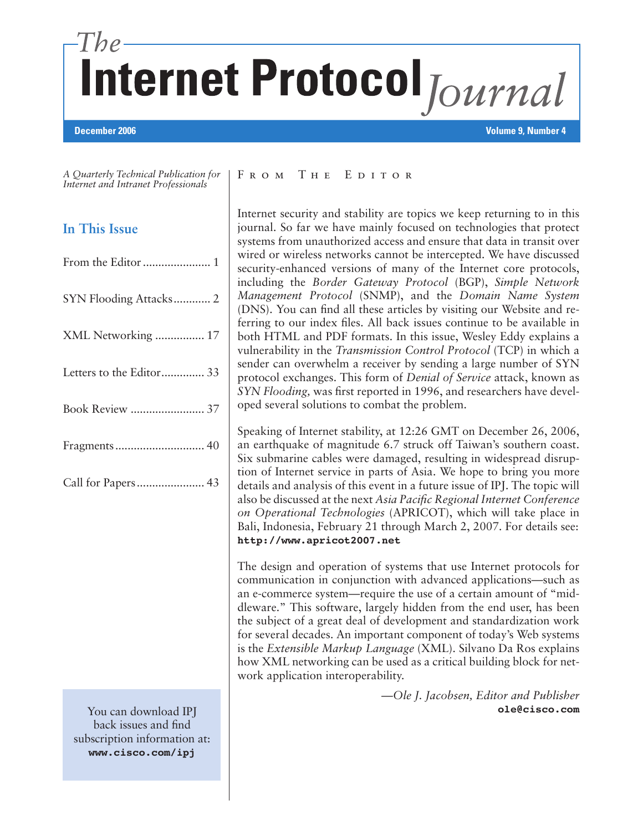# Internet Protocol Journal

#### **December 2006 Volume 9, Number 4**

*A Quarterly Technical Publication for Internet and Intranet Professionals*

# **In This Issue**

| SYN Flooding Attacks 2   |
|--------------------------|
| XML Networking  17       |
| Letters to the Editor 33 |
| Book Review  37          |
|                          |
|                          |

You can download IPJ back issues and find subscription information at: **www.cisco.com/ipj**

#### FROM THE EDITOR

Internet security and stability are topics we keep returning to in this journal. So far we have mainly focused on technologies that protect systems from unauthorized access and ensure that data in transit over wired or wireless networks cannot be intercepted. We have discussed security-enhanced versions of many of the Internet core protocols, including the *Border Gateway Protocol* (BGP), *Simple Network Management Protocol* (SNMP), and the *Domain Name System*  (DNS). You can find all these articles by visiting our Website and referring to our index files. All back issues continue to be available in both HTML and PDF formats. In this issue, Wesley Eddy explains a vulnerability in the *Transmission Control Protocol* (TCP) in which a sender can overwhelm a receiver by sending a large number of SYN protocol exchanges. This form of *Denial of Service* attack, known as *SYN Flooding,* was first reported in 1996, and researchers have developed several solutions to combat the problem.

Speaking of Internet stability, at 12:26 GMT on December 26, 2006, an earthquake of magnitude 6.7 struck off Taiwan's southern coast. Six submarine cables were damaged, resulting in widespread disruption of Internet service in parts of Asia. We hope to bring you more details and analysis of this event in a future issue of IPJ. The topic will also be discussed at the next *Asia Pacific Regional Internet Conference on Operational Technologies* (APRICOT), which will take place in Bali, Indonesia, February 21 through March 2, 2007. For details see: **http://www.apricot2007.net**

The design and operation of systems that use Internet protocols for communication in conjunction with advanced applications—such as an e-commerce system—require the use of a certain amount of "middleware." This software, largely hidden from the end user, has been the subject of a great deal of development and standardization work for several decades. An important component of today's Web systems is the *Extensible Markup Language* (XML). Silvano Da Ros explains how XML networking can be used as a critical building block for network application interoperability.

> *—Ole J. Jacobsen, Editor and Publisher*  **ole@cisco.com**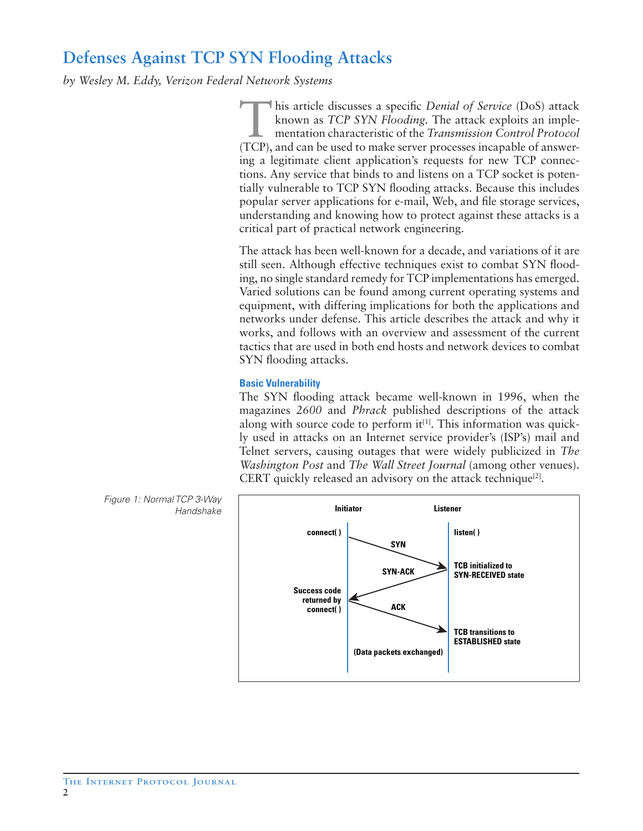# **Defenses Against TCP SYN Flooding Attacks**

*by Wesley M. Eddy, Verizon Federal Network Systems*

T his article discusses a specific *Denial of Service* (DoS) attack known as *TCP SYN Flooding.* The attack exploits an implementation characteristic of the *Transmission Control Protocol* (TCP), and can be used to make server processes incapable of answering a legitimate client application's requests for new TCP connections. Any service that binds to and listens on a TCP socket is potentially vulnerable to TCP SYN flooding attacks. Because this includes popular server applications for e-mail, Web, and file storage services, understanding and knowing how to protect against these attacks is a critical part of practical network engineering.

The attack has been well-known for a decade, and variations of it are still seen. Although effective techniques exist to combat SYN flooding, no single standard remedy for TCP implementations has emerged. Varied solutions can be found among current operating systems and equipment, with differing implications for both the applications and networks under defense. This article describes the attack and why it works, and follows with an overview and assessment of the current tactics that are used in both end hosts and network devices to combat SYN flooding attacks.

# **Basic Vulnerability**

The SYN flooding attack became well-known in 1996, when the magazines *2600* and *Phrack* published descriptions of the attack along with source code to perform  $it^{[1]}$ . This information was quickly used in attacks on an Internet service provider's (ISP's) mail and Telnet servers, causing outages that were widely publicized in *The Washington Post* and *The Wall Street Journal* (among other venues). CERT quickly released an advisory on the attack technique<sup>[2]</sup>.



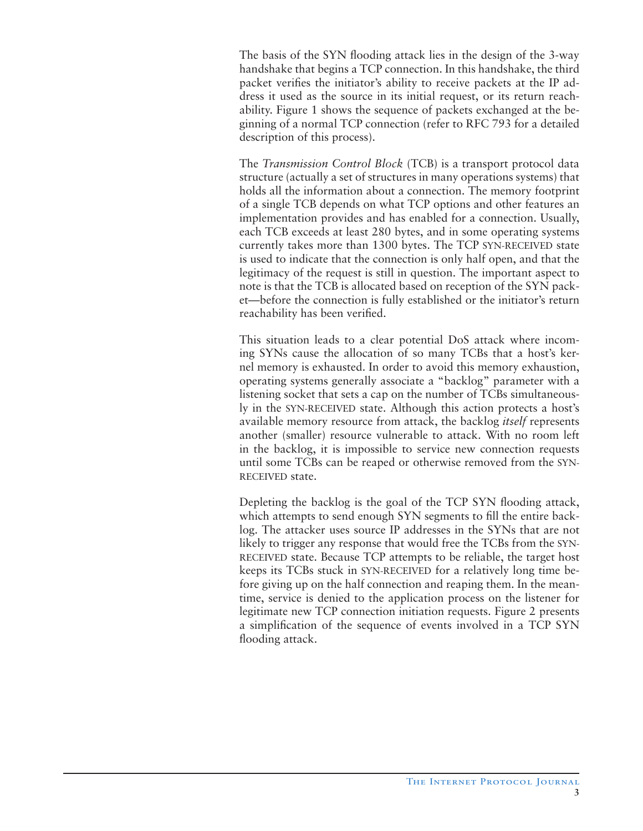The basis of the SYN flooding attack lies in the design of the 3-way handshake that begins a TCP connection. In this handshake, the third packet verifies the initiator's ability to receive packets at the IP address it used as the source in its initial request, or its return reachability. Figure 1 shows the sequence of packets exchanged at the beginning of a normal TCP connection (refer to RFC 793 for a detailed description of this process).

The *Transmission Control Block* (TCB) is a transport protocol data structure (actually a set of structures in many operations systems) that holds all the information about a connection. The memory footprint of a single TCB depends on what TCP options and other features an implementation provides and has enabled for a connection. Usually, each TCB exceeds at least 280 bytes, and in some operating systems currently takes more than 1300 bytes. The TCP SYN-RECEIVED state is used to indicate that the connection is only half open, and that the legitimacy of the request is still in question. The important aspect to note is that the TCB is allocated based on reception of the SYN packet—before the connection is fully established or the initiator's return reachability has been verified.

This situation leads to a clear potential DoS attack where incoming SYNs cause the allocation of so many TCBs that a host's kernel memory is exhausted. In order to avoid this memory exhaustion, operating systems generally associate a "backlog" parameter with a listening socket that sets a cap on the number of TCBs simultaneously in the SYN-RECEIVED state. Although this action protects a host's available memory resource from attack, the backlog *itself* represents another (smaller) resource vulnerable to attack. With no room left in the backlog, it is impossible to service new connection requests until some TCBs can be reaped or otherwise removed from the SYN-RECEIVED state.

Depleting the backlog is the goal of the TCP SYN flooding attack, which attempts to send enough SYN segments to fill the entire backlog. The attacker uses source IP addresses in the SYNs that are not likely to trigger any response that would free the TCBs from the SYN-RECEIVED state. Because TCP attempts to be reliable, the target host keeps its TCBs stuck in SYN-RECEIVED for a relatively long time before giving up on the half connection and reaping them. In the meantime, service is denied to the application process on the listener for legitimate new TCP connection initiation requests. Figure 2 presents a simplification of the sequence of events involved in a TCP SYN flooding attack.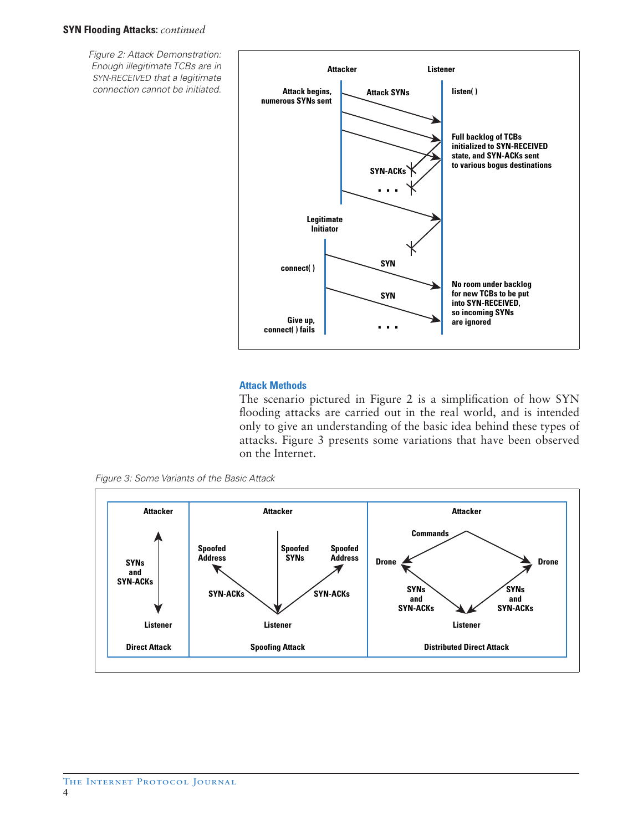#### **SYN Flooding Attacks:** *continued*

Figure 2: Attack Demonstration: Enough illegitimate TCBs are in SYN-RECEIVED that a legitimate connection cannot be initiated.



#### **Attack Methods**

The scenario pictured in Figure 2 is a simplification of how SYN flooding attacks are carried out in the real world, and is intended only to give an understanding of the basic idea behind these types of attacks. Figure 3 presents some variations that have been observed on the Internet.

Figure 3: Some Variants of the Basic Attack

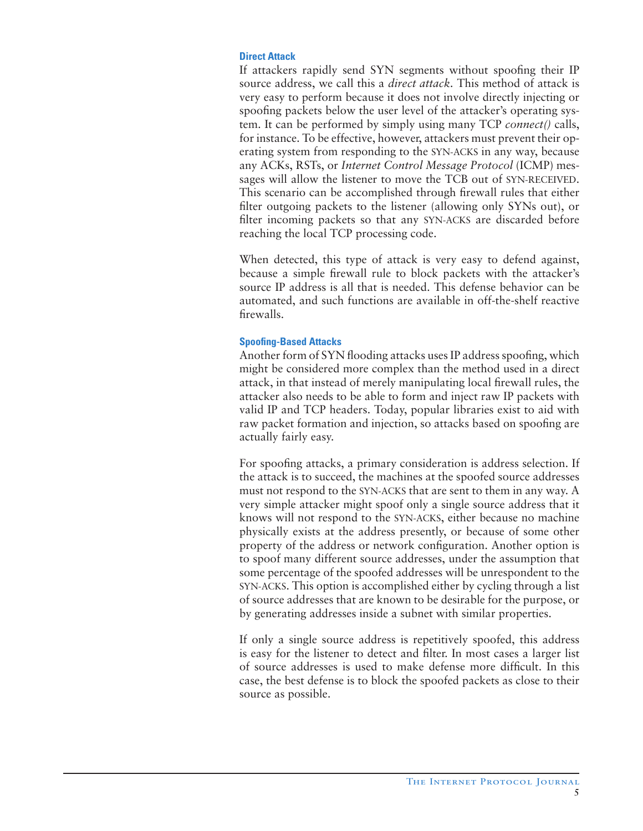# **Direct Attack**

If attackers rapidly send SYN segments without spoofing their IP source address, we call this a *direct attack.* This method of attack is very easy to perform because it does not involve directly injecting or spoofing packets below the user level of the attacker's operating system. It can be performed by simply using many TCP *connect()* calls, for instance. To be effective, however, attackers must prevent their operating system from responding to the SYN-ACKS in any way, because any ACKs, RSTs, or *Internet Control Message Protocol* (ICMP) messages will allow the listener to move the TCB out of SYN-RECEIVED. This scenario can be accomplished through firewall rules that either filter outgoing packets to the listener (allowing only SYNs out), or filter incoming packets so that any SYN-ACKS are discarded before reaching the local TCP processing code.

When detected, this type of attack is very easy to defend against, because a simple firewall rule to block packets with the attacker's source IP address is all that is needed. This defense behavior can be automated, and such functions are available in off-the-shelf reactive firewalls.

# **Spoofing-Based Attacks**

Another form of SYN flooding attacks uses IP address spoofing, which might be considered more complex than the method used in a direct attack, in that instead of merely manipulating local firewall rules, the attacker also needs to be able to form and inject raw IP packets with valid IP and TCP headers. Today, popular libraries exist to aid with raw packet formation and injection, so attacks based on spoofing are actually fairly easy.

For spoofing attacks, a primary consideration is address selection. If the attack is to succeed, the machines at the spoofed source addresses must not respond to the SYN-ACKS that are sent to them in any way. A very simple attacker might spoof only a single source address that it knows will not respond to the SYN-ACKS, either because no machine physically exists at the address presently, or because of some other property of the address or network configuration. Another option is to spoof many different source addresses, under the assumption that some percentage of the spoofed addresses will be unrespondent to the SYN-ACKS. This option is accomplished either by cycling through a list of source addresses that are known to be desirable for the purpose, or by generating addresses inside a subnet with similar properties.

If only a single source address is repetitively spoofed, this address is easy for the listener to detect and filter. In most cases a larger list of source addresses is used to make defense more difficult. In this case, the best defense is to block the spoofed packets as close to their source as possible.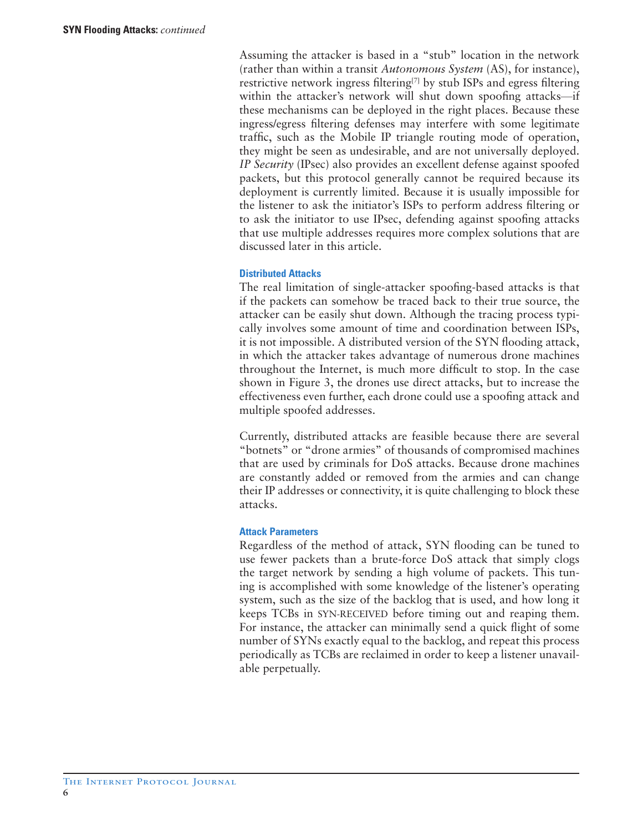Assuming the attacker is based in a "stub" location in the network (rather than within a transit *Autonomous System* (AS), for instance), restrictive network ingress filtering<sup>[7]</sup> by stub ISPs and egress filtering within the attacker's network will shut down spoofing attacks—if these mechanisms can be deployed in the right places. Because these ingress/egress filtering defenses may interfere with some legitimate traffic, such as the Mobile IP triangle routing mode of operation, they might be seen as undesirable, and are not universally deployed. *IP Security* (IPsec) also provides an excellent defense against spoofed packets, but this protocol generally cannot be required because its deployment is currently limited. Because it is usually impossible for the listener to ask the initiator's ISPs to perform address filtering or to ask the initiator to use IPsec, defending against spoofing attacks that use multiple addresses requires more complex solutions that are discussed later in this article.

#### **Distributed Attacks**

The real limitation of single-attacker spoofing-based attacks is that if the packets can somehow be traced back to their true source, the attacker can be easily shut down. Although the tracing process typically involves some amount of time and coordination between ISPs, it is not impossible. A distributed version of the SYN flooding attack, in which the attacker takes advantage of numerous drone machines throughout the Internet, is much more difficult to stop. In the case shown in Figure 3, the drones use direct attacks, but to increase the effectiveness even further, each drone could use a spoofing attack and multiple spoofed addresses.

Currently, distributed attacks are feasible because there are several "botnets" or "drone armies" of thousands of compromised machines that are used by criminals for DoS attacks. Because drone machines are constantly added or removed from the armies and can change their IP addresses or connectivity, it is quite challenging to block these attacks.

#### **Attack Parameters**

Regardless of the method of attack, SYN flooding can be tuned to use fewer packets than a brute-force DoS attack that simply clogs the target network by sending a high volume of packets. This tuning is accomplished with some knowledge of the listener's operating system, such as the size of the backlog that is used, and how long it keeps TCBs in SYN-RECEIVED before timing out and reaping them. For instance, the attacker can minimally send a quick flight of some number of SYNs exactly equal to the backlog, and repeat this process periodically as TCBs are reclaimed in order to keep a listener unavailable perpetually.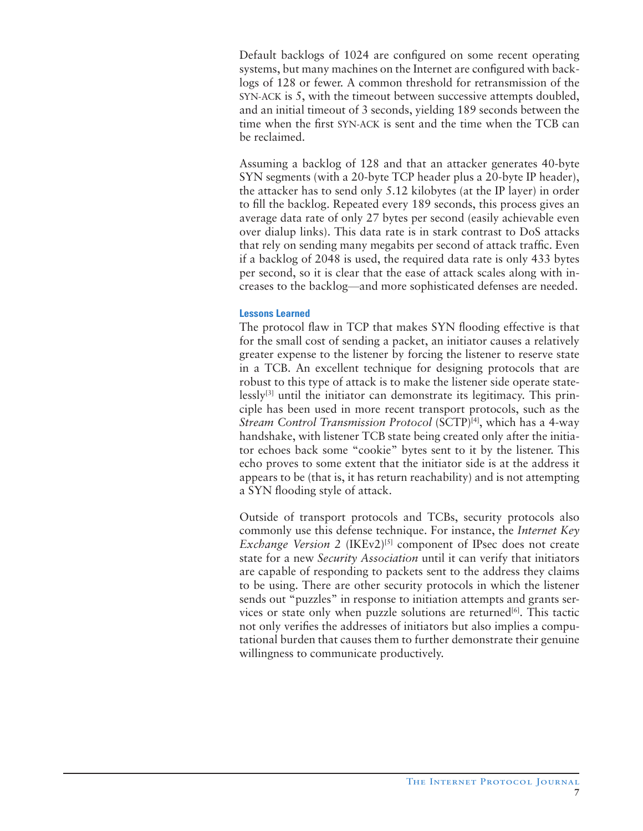Default backlogs of 1024 are configured on some recent operating systems, but many machines on the Internet are configured with backlogs of 128 or fewer. A common threshold for retransmission of the SYN-ACK is 5, with the timeout between successive attempts doubled, and an initial timeout of 3 seconds, yielding 189 seconds between the time when the first SYN-ACK is sent and the time when the TCB can be reclaimed.

Assuming a backlog of 128 and that an attacker generates 40-byte SYN segments (with a 20-byte TCP header plus a 20-byte IP header), the attacker has to send only 5.12 kilobytes (at the IP layer) in order to fill the backlog. Repeated every 189 seconds, this process gives an average data rate of only 27 bytes per second (easily achievable even over dialup links). This data rate is in stark contrast to DoS attacks that rely on sending many megabits per second of attack traffic. Even if a backlog of 2048 is used, the required data rate is only 433 bytes per second, so it is clear that the ease of attack scales along with increases to the backlog—and more sophisticated defenses are needed.

# **Lessons Learned**

The protocol flaw in TCP that makes SYN flooding effective is that for the small cost of sending a packet, an initiator causes a relatively greater expense to the listener by forcing the listener to reserve state in a TCB. An excellent technique for designing protocols that are robust to this type of attack is to make the listener side operate state- $\text{lessly}^{[3]}$  until the initiator can demonstrate its legitimacy. This principle has been used in more recent transport protocols, such as the *Stream Control Transmission Protocol* (SCTP)[4], which has a 4-way handshake, with listener TCB state being created only after the initiator echoes back some "cookie" bytes sent to it by the listener. This echo proves to some extent that the initiator side is at the address it appears to be (that is, it has return reachability) and is not attempting a SYN flooding style of attack.

Outside of transport protocols and TCBs, security protocols also commonly use this defense technique. For instance, the *Internet Key Exchange Version 2* (IKEv2)<sup>[5]</sup> component of IPsec does not create state for a new *Security Association* until it can verify that initiators are capable of responding to packets sent to the address they claims to be using. There are other security protocols in which the listener sends out "puzzles" in response to initiation attempts and grants services or state only when puzzle solutions are returned $[6]$ . This tactic not only verifies the addresses of initiators but also implies a computational burden that causes them to further demonstrate their genuine willingness to communicate productively.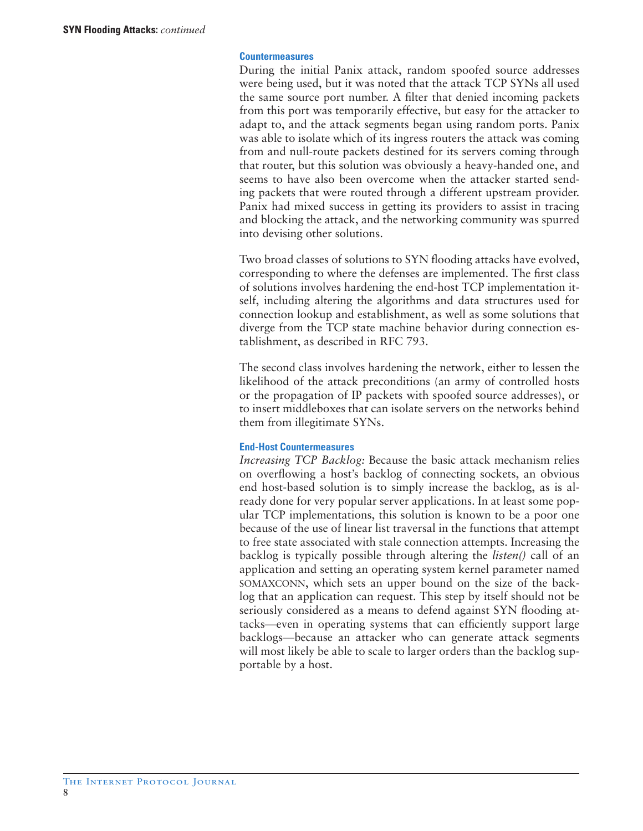#### **Countermeasures**

During the initial Panix attack, random spoofed source addresses were being used, but it was noted that the attack TCP SYNs all used the same source port number. A filter that denied incoming packets from this port was temporarily effective, but easy for the attacker to adapt to, and the attack segments began using random ports. Panix was able to isolate which of its ingress routers the attack was coming from and null-route packets destined for its servers coming through that router, but this solution was obviously a heavy-handed one, and seems to have also been overcome when the attacker started sending packets that were routed through a different upstream provider. Panix had mixed success in getting its providers to assist in tracing and blocking the attack, and the networking community was spurred into devising other solutions.

Two broad classes of solutions to SYN flooding attacks have evolved, corresponding to where the defenses are implemented. The first class of solutions involves hardening the end-host TCP implementation itself, including altering the algorithms and data structures used for connection lookup and establishment, as well as some solutions that diverge from the TCP state machine behavior during connection establishment, as described in RFC 793.

The second class involves hardening the network, either to lessen the likelihood of the attack preconditions (an army of controlled hosts or the propagation of IP packets with spoofed source addresses), or to insert middleboxes that can isolate servers on the networks behind them from illegitimate SYNs.

# **End-Host Countermeasures**

*Increasing TCP Backlog:* Because the basic attack mechanism relies on overflowing a host's backlog of connecting sockets, an obvious end host-based solution is to simply increase the backlog, as is already done for very popular server applications. In at least some popular TCP implementations, this solution is known to be a poor one because of the use of linear list traversal in the functions that attempt to free state associated with stale connection attempts. Increasing the backlog is typically possible through altering the *listen()* call of an application and setting an operating system kernel parameter named SOMAXCONN, which sets an upper bound on the size of the backlog that an application can request. This step by itself should not be seriously considered as a means to defend against SYN flooding attacks—even in operating systems that can efficiently support large backlogs—because an attacker who can generate attack segments will most likely be able to scale to larger orders than the backlog supportable by a host.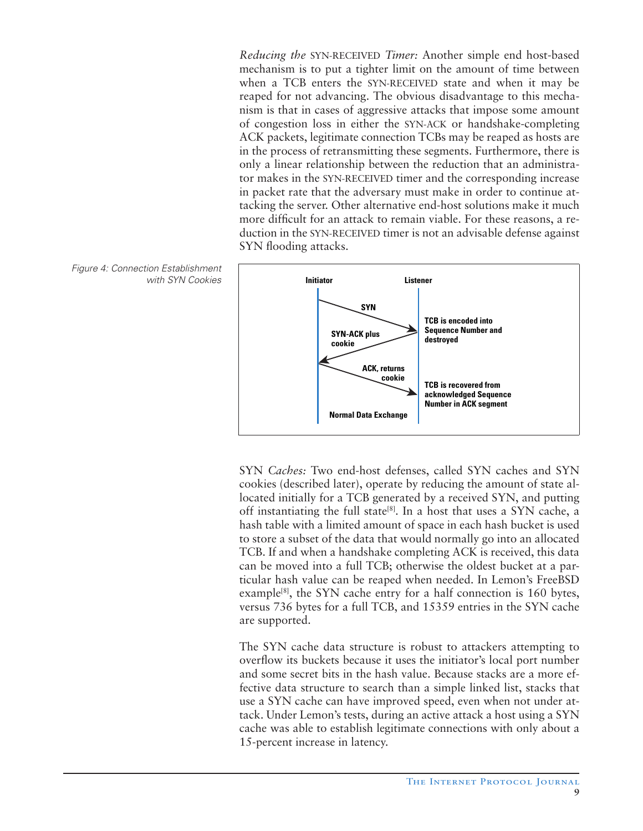*Reducing the* SYN-RECEIVED *Timer:* Another simple end host-based mechanism is to put a tighter limit on the amount of time between when a TCB enters the SYN-RECEIVED state and when it may be reaped for not advancing. The obvious disadvantage to this mechanism is that in cases of aggressive attacks that impose some amount of congestion loss in either the SYN-ACK or handshake-completing ACK packets, legitimate connection TCBs may be reaped as hosts are in the process of retransmitting these segments. Furthermore, there is only a linear relationship between the reduction that an administrator makes in the SYN-RECEIVED timer and the corresponding increase in packet rate that the adversary must make in order to continue attacking the server. Other alternative end-host solutions make it much more difficult for an attack to remain viable. For these reasons, a reduction in the SYN-RECEIVED timer is not an advisable defense against SYN flooding attacks.



SYN *Caches:* Two end-host defenses, called SYN caches and SYN cookies (described later), operate by reducing the amount of state allocated initially for a TCB generated by a received SYN, and putting off instantiating the full state<sup>[8]</sup>. In a host that uses a SYN cache, a hash table with a limited amount of space in each hash bucket is used to store a subset of the data that would normally go into an allocated TCB. If and when a handshake completing ACK is received, this data can be moved into a full TCB; otherwise the oldest bucket at a particular hash value can be reaped when needed. In Lemon's FreeBSD example<sup>[8]</sup>, the SYN cache entry for a half connection is 160 bytes, versus 736 bytes for a full TCB, and 15359 entries in the SYN cache are supported.

The SYN cache data structure is robust to attackers attempting to overflow its buckets because it uses the initiator's local port number and some secret bits in the hash value. Because stacks are a more effective data structure to search than a simple linked list, stacks that use a SYN cache can have improved speed, even when not under attack. Under Lemon's tests, during an active attack a host using a SYN cache was able to establish legitimate connections with only about a 15-percent increase in latency.

Figure 4: Connection Establishment with SYN Cookies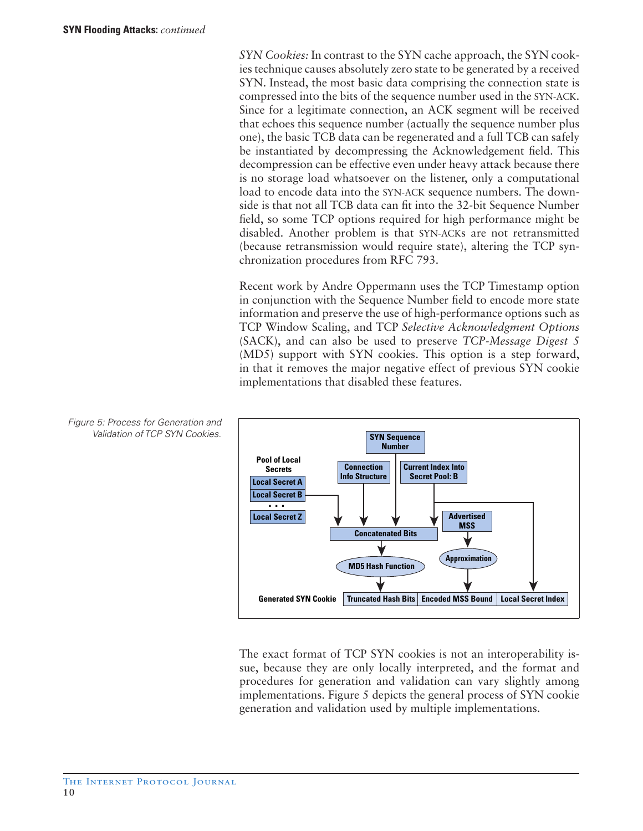*SYN Cookies:* In contrast to the SYN cache approach, the SYN cookies technique causes absolutely zero state to be generated by a received SYN. Instead, the most basic data comprising the connection state is compressed into the bits of the sequence number used in the SYN-ACK. Since for a legitimate connection, an ACK segment will be received that echoes this sequence number (actually the sequence number plus one), the basic TCB data can be regenerated and a full TCB can safely be instantiated by decompressing the Acknowledgement field. This decompression can be effective even under heavy attack because there is no storage load whatsoever on the listener, only a computational load to encode data into the SYN-ACK sequence numbers. The downside is that not all TCB data can fit into the 32-bit Sequence Number field, so some TCP options required for high performance might be disabled. Another problem is that SYN-ACKs are not retransmitted (because retransmission would require state), altering the TCP synchronization procedures from RFC 793.

Recent work by Andre Oppermann uses the TCP Timestamp option in conjunction with the Sequence Number field to encode more state information and preserve the use of high-performance options such as TCP Window Scaling, and TCP *Selective Acknowledgment Options*  (SACK), and can also be used to preserve *TCP-Message Digest 5*  (MD5) support with SYN cookies. This option is a step forward, in that it removes the major negative effect of previous SYN cookie implementations that disabled these features.



The exact format of TCP SYN cookies is not an interoperability issue, because they are only locally interpreted, and the format and procedures for generation and validation can vary slightly among implementations. Figure 5 depicts the general process of SYN cookie generation and validation used by multiple implementations.

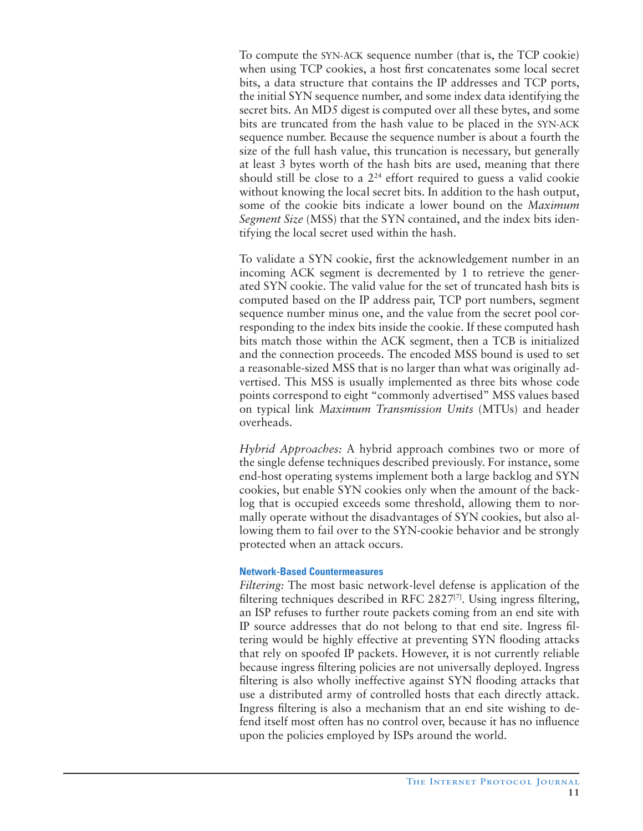To compute the SYN-ACK sequence number (that is, the TCP cookie) when using TCP cookies, a host first concatenates some local secret bits, a data structure that contains the IP addresses and TCP ports, the initial SYN sequence number, and some index data identifying the secret bits. An MD5 digest is computed over all these bytes, and some bits are truncated from the hash value to be placed in the SYN-ACK sequence number. Because the sequence number is about a fourth the size of the full hash value, this truncation is necessary, but generally at least 3 bytes worth of the hash bits are used, meaning that there should still be close to a  $2^{24}$  effort required to guess a valid cookie without knowing the local secret bits. In addition to the hash output, some of the cookie bits indicate a lower bound on the *Maximum Segment Size* (MSS) that the SYN contained, and the index bits identifying the local secret used within the hash.

To validate a SYN cookie, first the acknowledgement number in an incoming ACK segment is decremented by 1 to retrieve the generated SYN cookie. The valid value for the set of truncated hash bits is computed based on the IP address pair, TCP port numbers, segment sequence number minus one, and the value from the secret pool corresponding to the index bits inside the cookie. If these computed hash bits match those within the ACK segment, then a TCB is initialized and the connection proceeds. The encoded MSS bound is used to set a reasonable-sized MSS that is no larger than what was originally advertised. This MSS is usually implemented as three bits whose code points correspond to eight "commonly advertised" MSS values based on typical link *Maximum Transmission Units* (MTUs) and header overheads.

*Hybrid Approaches:* A hybrid approach combines two or more of the single defense techniques described previously. For instance, some end-host operating systems implement both a large backlog and SYN cookies, but enable SYN cookies only when the amount of the backlog that is occupied exceeds some threshold, allowing them to normally operate without the disadvantages of SYN cookies, but also allowing them to fail over to the SYN-cookie behavior and be strongly protected when an attack occurs.

# **Network-Based Countermeasures**

*Filtering:* The most basic network-level defense is application of the filtering techniques described in RFC 2827 $[7]$ . Using ingress filtering, an ISP refuses to further route packets coming from an end site with IP source addresses that do not belong to that end site. Ingress filtering would be highly effective at preventing SYN flooding attacks that rely on spoofed IP packets. However, it is not currently reliable because ingress filtering policies are not universally deployed. Ingress filtering is also wholly ineffective against SYN flooding attacks that use a distributed army of controlled hosts that each directly attack. Ingress filtering is also a mechanism that an end site wishing to defend itself most often has no control over, because it has no influence upon the policies employed by ISPs around the world.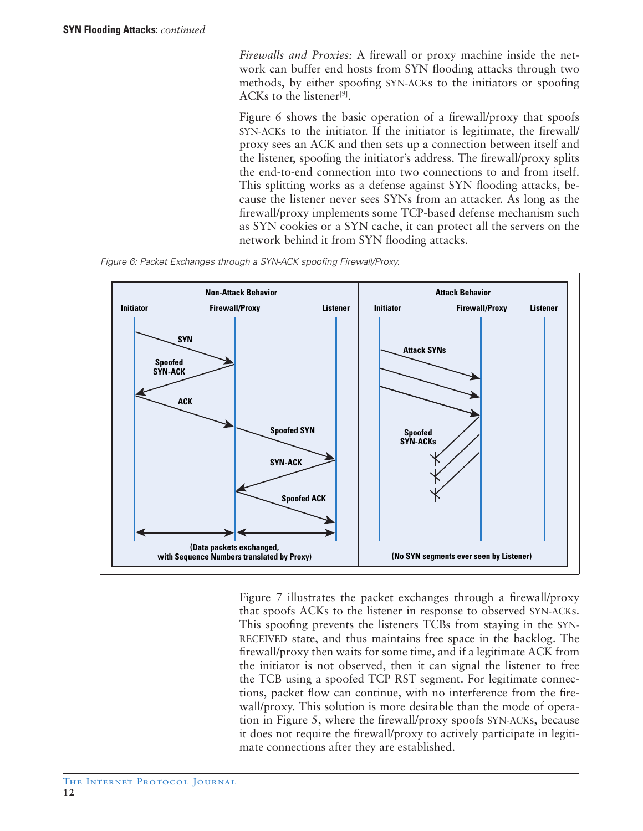*Firewalls and Proxies:* A firewall or proxy machine inside the network can buffer end hosts from SYN flooding attacks through two methods, by either spoofing SYN-ACKs to the initiators or spoofing ACKs to the listener<sup>[9]</sup>.

Figure 6 shows the basic operation of a firewall/proxy that spoofs SYN-ACKs to the initiator. If the initiator is legitimate, the firewall/ proxy sees an ACK and then sets up a connection between itself and the listener, spoofing the initiator's address. The firewall/proxy splits the end-to-end connection into two connections to and from itself. This splitting works as a defense against SYN flooding attacks, because the listener never sees SYNs from an attacker. As long as the firewall/proxy implements some TCP-based defense mechanism such as SYN cookies or a SYN cache, it can protect all the servers on the network behind it from SYN flooding attacks.

Figure 6: Packet Exchanges through a SYN-ACK spoofing Firewall/Proxy.



Figure 7 illustrates the packet exchanges through a firewall/proxy that spoofs ACKs to the listener in response to observed SYN-ACKs. This spoofing prevents the listeners TCBs from staying in the SYN-RECEIVED state, and thus maintains free space in the backlog. The firewall/proxy then waits for some time, and if a legitimate ACK from the initiator is not observed, then it can signal the listener to free the TCB using a spoofed TCP RST segment. For legitimate connections, packet flow can continue, with no interference from the firewall/proxy. This solution is more desirable than the mode of operation in Figure 5, where the firewall/proxy spoofs SYN-ACKs, because it does not require the firewall/proxy to actively participate in legitimate connections after they are established.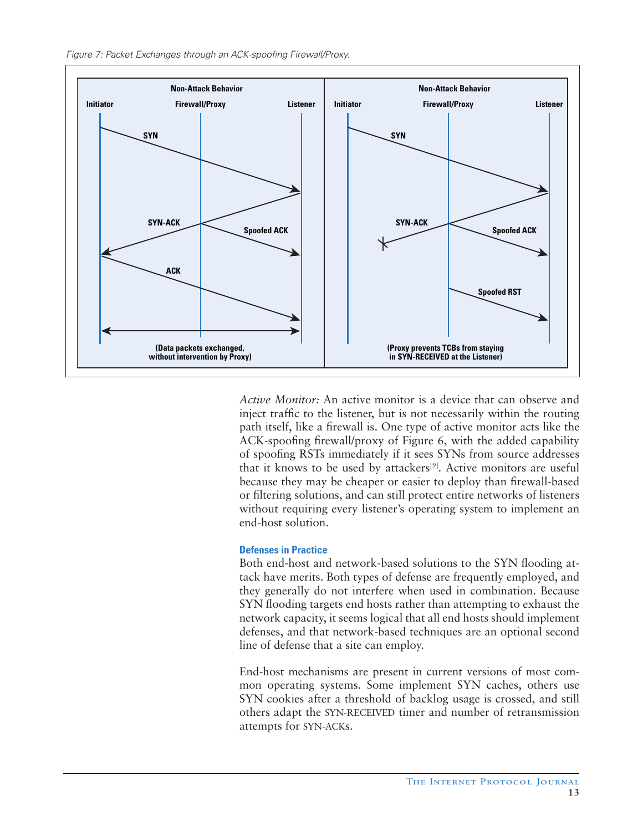

*Active Monitor:* An active monitor is a device that can observe and inject traffic to the listener, but is not necessarily within the routing path itself, like a firewall is. One type of active monitor acts like the ACK-spoofing firewall/proxy of Figure 6, with the added capability of spoofing RSTs immediately if it sees SYNs from source addresses that it knows to be used by attackers<sup>[9]</sup>. Active monitors are useful because they may be cheaper or easier to deploy than firewall-based or filtering solutions, and can still protect entire networks of listeners without requiring every listener's operating system to implement an end-host solution.

# **Defenses in Practice**

Both end-host and network-based solutions to the SYN flooding attack have merits. Both types of defense are frequently employed, and they generally do not interfere when used in combination. Because SYN flooding targets end hosts rather than attempting to exhaust the network capacity, it seems logical that all end hosts should implement defenses, and that network-based techniques are an optional second line of defense that a site can employ.

End-host mechanisms are present in current versions of most common operating systems. Some implement SYN caches, others use SYN cookies after a threshold of backlog usage is crossed, and still others adapt the SYN-RECEIVED timer and number of retransmission attempts for SYN-ACKs.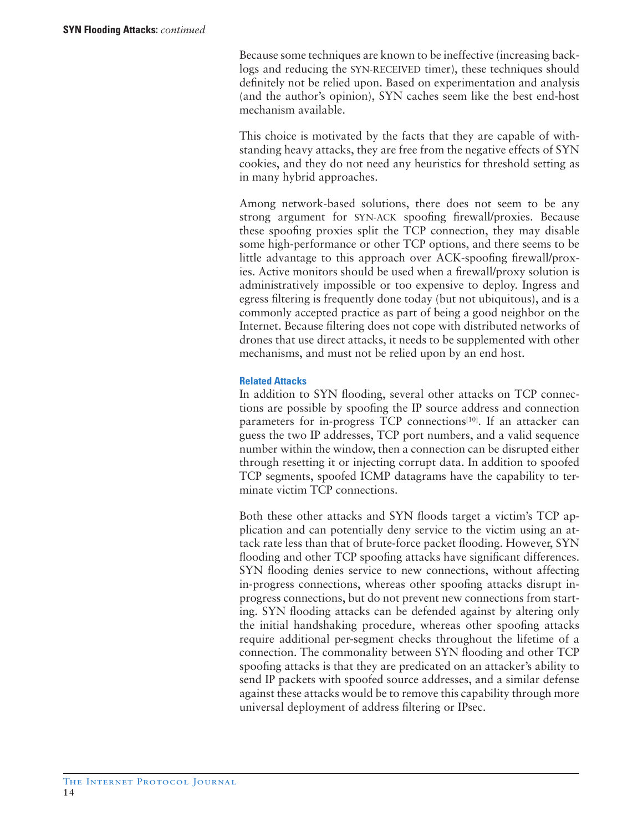Because some techniques are known to be ineffective (increasing backlogs and reducing the SYN-RECEIVED timer), these techniques should definitely not be relied upon. Based on experimentation and analysis (and the author's opinion), SYN caches seem like the best end-host mechanism available.

This choice is motivated by the facts that they are capable of withstanding heavy attacks, they are free from the negative effects of SYN cookies, and they do not need any heuristics for threshold setting as in many hybrid approaches.

Among network-based solutions, there does not seem to be any strong argument for SYN-ACK spoofing firewall/proxies. Because these spoofing proxies split the TCP connection, they may disable some high-performance or other TCP options, and there seems to be little advantage to this approach over ACK-spoofing firewall/proxies. Active monitors should be used when a firewall/proxy solution is administratively impossible or too expensive to deploy. Ingress and egress filtering is frequently done today (but not ubiquitous), and is a commonly accepted practice as part of being a good neighbor on the Internet. Because filtering does not cope with distributed networks of drones that use direct attacks, it needs to be supplemented with other mechanisms, and must not be relied upon by an end host.

# **Related Attacks**

In addition to SYN flooding, several other attacks on TCP connections are possible by spoofing the IP source address and connection parameters for in-progress TCP connections<sup>[10]</sup>. If an attacker can guess the two IP addresses, TCP port numbers, and a valid sequence number within the window, then a connection can be disrupted either through resetting it or injecting corrupt data. In addition to spoofed TCP segments, spoofed ICMP datagrams have the capability to terminate victim TCP connections.

Both these other attacks and SYN floods target a victim's TCP application and can potentially deny service to the victim using an attack rate less than that of brute-force packet flooding. However, SYN flooding and other TCP spoofing attacks have significant differences. SYN flooding denies service to new connections, without affecting in-progress connections, whereas other spoofing attacks disrupt inprogress connections, but do not prevent new connections from starting. SYN flooding attacks can be defended against by altering only the initial handshaking procedure, whereas other spoofing attacks require additional per-segment checks throughout the lifetime of a connection. The commonality between SYN flooding and other TCP spoofing attacks is that they are predicated on an attacker's ability to send IP packets with spoofed source addresses, and a similar defense against these attacks would be to remove this capability through more universal deployment of address filtering or IPsec.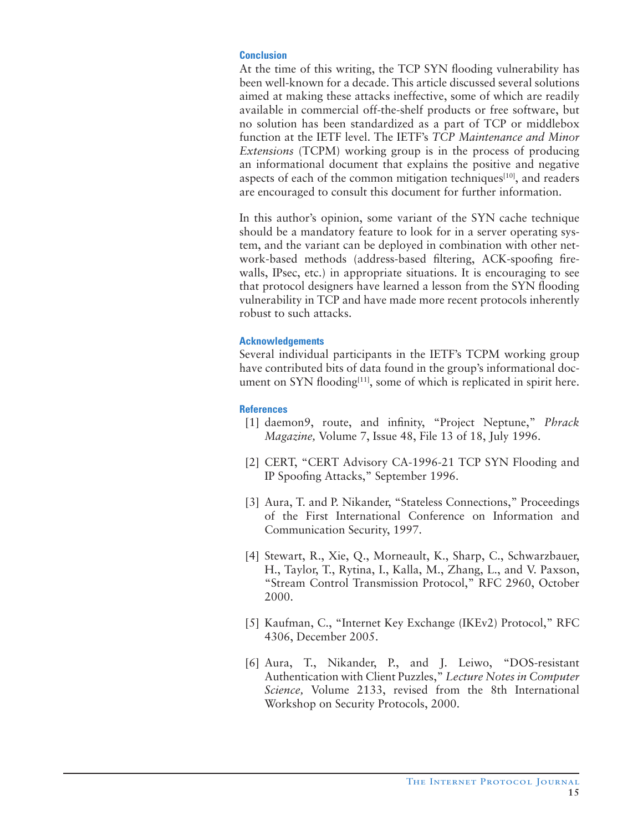# **Conclusion**

At the time of this writing, the TCP SYN flooding vulnerability has been well-known for a decade. This article discussed several solutions aimed at making these attacks ineffective, some of which are readily available in commercial off-the-shelf products or free software, but no solution has been standardized as a part of TCP or middlebox function at the IETF level. The IETF's *TCP Maintenance and Minor Extensions* (TCPM) working group is in the process of producing an informational document that explains the positive and negative aspects of each of the common mitigation techniques $[10]$ , and readers are encouraged to consult this document for further information.

In this author's opinion, some variant of the SYN cache technique should be a mandatory feature to look for in a server operating system, and the variant can be deployed in combination with other network-based methods (address-based filtering, ACK-spoofing firewalls, IPsec, etc.) in appropriate situations. It is encouraging to see that protocol designers have learned a lesson from the SYN flooding vulnerability in TCP and have made more recent protocols inherently robust to such attacks.

# **Acknowledgements**

Several individual participants in the IETF's TCPM working group have contributed bits of data found in the group's informational document on SYN flooding<sup>[11]</sup>, some of which is replicated in spirit here.

# **References**

- [1] daemon9, route, and infinity, "Project Neptune," *Phrack Magazine,* Volume 7, Issue 48, File 13 of 18, July 1996.
- [2] CERT, "CERT Advisory CA-1996-21 TCP SYN Flooding and IP Spoofing Attacks," September 1996.
- [3] Aura, T. and P. Nikander, "Stateless Connections," Proceedings of the First International Conference on Information and Communication Security, 1997.
- [4] Stewart, R., Xie, Q., Morneault, K., Sharp, C., Schwarzbauer, H., Taylor, T., Rytina, I., Kalla, M., Zhang, L., and V. Paxson, "Stream Control Transmission Protocol," RFC 2960, October 2000.
- [5] Kaufman, C., "Internet Key Exchange (IKEv2) Protocol," RFC 4306, December 2005.
- [6] Aura, T., Nikander, P., and J. Leiwo, "DOS-resistant Authentication with Client Puzzles," *Lecture Notes in Computer Science,* Volume 2133, revised from the 8th International Workshop on Security Protocols, 2000.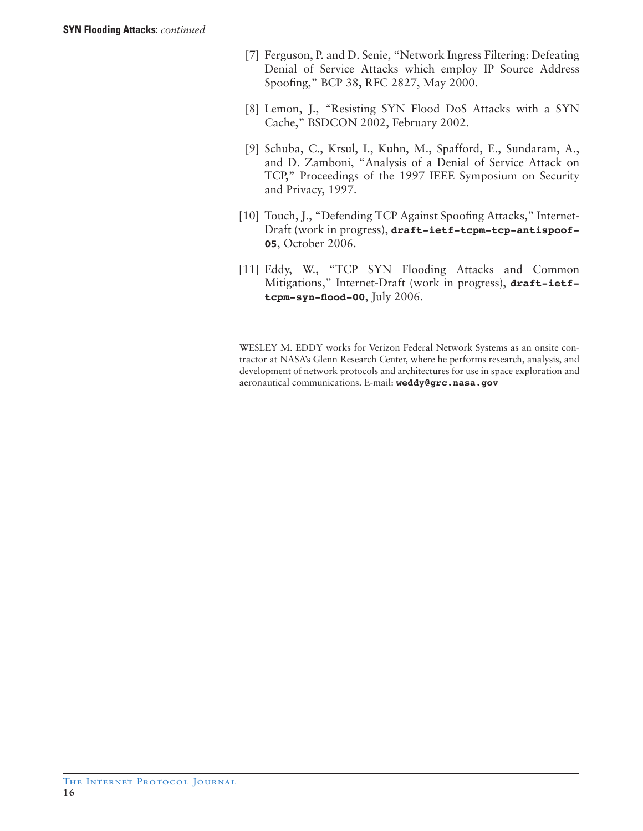- [7] Ferguson, P. and D. Senie, "Network Ingress Filtering: Defeating Denial of Service Attacks which employ IP Source Address Spoofing," BCP 38, RFC 2827, May 2000.
- [8] Lemon, J., "Resisting SYN Flood DoS Attacks with a SYN Cache," BSDCON 2002, February 2002.
- [9] Schuba, C., Krsul, I., Kuhn, M., Spafford, E., Sundaram, A., and D. Zamboni, "Analysis of a Denial of Service Attack on TCP," Proceedings of the 1997 IEEE Symposium on Security and Privacy, 1997.
- [10] Touch, J., "Defending TCP Against Spoofing Attacks," Internet-Draft (work in progress), **draft-ietf-tcpm-tcp-antispoof-05**, October 2006.
- [11] Eddy, W., "TCP SYN Flooding Attacks and Common Mitigations," Internet-Draft (work in progress), **draft-ietftcpm-syn-flood-00**, July 2006.

WESLEY M. EDDY works for Verizon Federal Network Systems as an onsite contractor at NASA's Glenn Research Center, where he performs research, analysis, and development of network protocols and architectures for use in space exploration and aeronautical communications. E-mail: **weddy@grc.nasa.gov**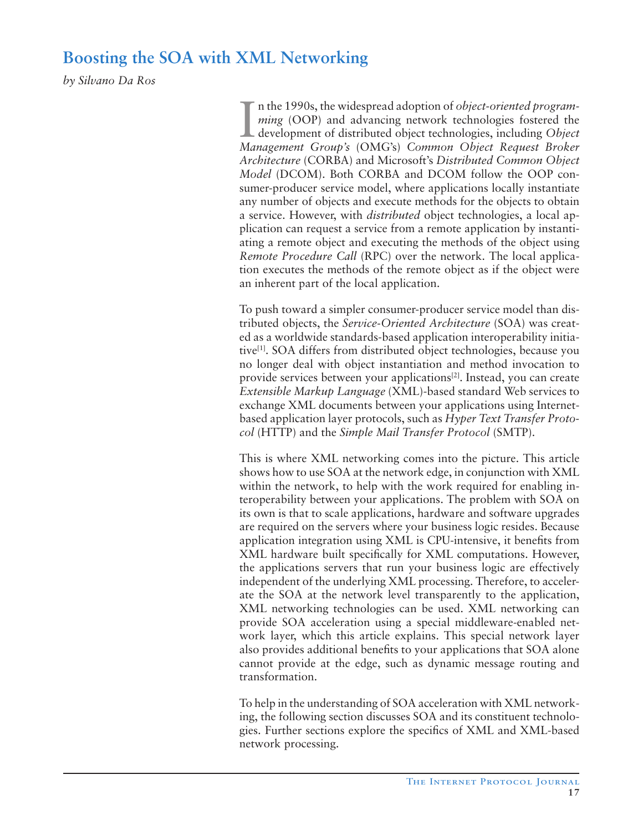# **Boosting the SOA with XML Networking**

*by Silvano Da Ros*

I n the 1990s, the widespread adoption of *object-oriented programming* (OOP) and advancing network technologies fostered the development of distributed object technologies, including *Object Management Group's* (OMG's) *Common Object Request Broker Architecture* (CORBA) and Microsoft's *Distributed Common Object Model* (DCOM). Both CORBA and DCOM follow the OOP consumer-producer service model, where applications locally instantiate any number of objects and execute methods for the objects to obtain a service. However, with *distributed* object technologies, a local application can request a service from a remote application by instantiating a remote object and executing the methods of the object using *Remote Procedure Call* (RPC) over the network. The local application executes the methods of the remote object as if the object were an inherent part of the local application.

To push toward a simpler consumer-producer service model than distributed objects, the *Service-Oriented Architecture* (SOA) was created as a worldwide standards-based application interoperability initiative[1]. SOA differs from distributed object technologies, because you no longer deal with object instantiation and method invocation to provide services between your applications<sup>[2]</sup>. Instead, you can create *Extensible Markup Language* (XML)-based standard Web services to exchange XML documents between your applications using Internetbased application layer protocols, such as *Hyper Text Transfer Protocol* (HTTP) and the *Simple Mail Transfer Protocol* (SMTP).

This is where XML networking comes into the picture. This article shows how to use SOA at the network edge, in conjunction with XML within the network, to help with the work required for enabling interoperability between your applications. The problem with SOA on its own is that to scale applications, hardware and software upgrades are required on the servers where your business logic resides. Because application integration using XML is CPU-intensive, it benefits from XML hardware built specifically for XML computations. However, the applications servers that run your business logic are effectively independent of the underlying XML processing. Therefore, to accelerate the SOA at the network level transparently to the application, XML networking technologies can be used. XML networking can provide SOA acceleration using a special middleware-enabled network layer, which this article explains. This special network layer also provides additional benefits to your applications that SOA alone cannot provide at the edge, such as dynamic message routing and transformation.

To help in the understanding of SOA acceleration with XML networking, the following section discusses SOA and its constituent technologies. Further sections explore the specifics of XML and XML-based network processing.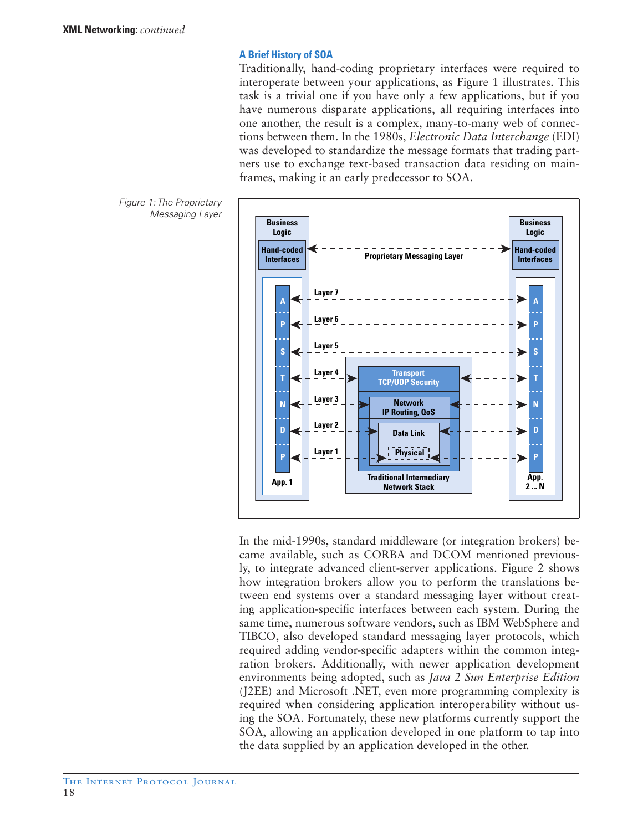# **A Brief History of SOA**

Traditionally, hand-coding proprietary interfaces were required to interoperate between your applications, as Figure 1 illustrates. This task is a trivial one if you have only a few applications, but if you have numerous disparate applications, all requiring interfaces into one another, the result is a complex, many-to-many web of connections between them. In the 1980s, *Electronic Data Interchange* (EDI) was developed to standardize the message formats that trading partners use to exchange text-based transaction data residing on mainframes, making it an early predecessor to SOA.



In the mid-1990s, standard middleware (or integration brokers) became available, such as CORBA and DCOM mentioned previously, to integrate advanced client-server applications. Figure 2 shows how integration brokers allow you to perform the translations between end systems over a standard messaging layer without creating application-specific interfaces between each system. During the same time, numerous software vendors, such as IBM WebSphere and TIBCO, also developed standard messaging layer protocols, which required adding vendor-specific adapters within the common integration brokers. Additionally, with newer application development environments being adopted, such as *Java 2 Sun Enterprise Edition*  (J2EE) and Microsoft .NET, even more programming complexity is required when considering application interoperability without using the SOA. Fortunately, these new platforms currently support the SOA, allowing an application developed in one platform to tap into the data supplied by an application developed in the other.

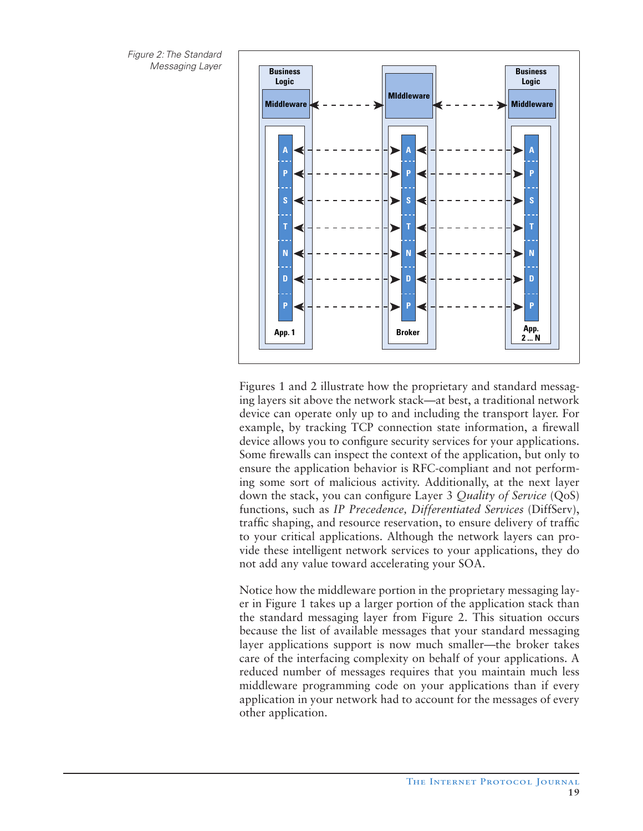Figure 2: The Standard



Figures 1 and 2 illustrate how the proprietary and standard messaging layers sit above the network stack—at best, a traditional network device can operate only up to and including the transport layer. For example, by tracking TCP connection state information, a firewall device allows you to configure security services for your applications. Some firewalls can inspect the context of the application, but only to ensure the application behavior is RFC-compliant and not performing some sort of malicious activity. Additionally, at the next layer down the stack, you can configure Layer 3 *Quality of Service* (QoS) functions, such as *IP Precedence*, *Differentiated Services* (DiffServ), traffic shaping, and resource reservation, to ensure delivery of traffic to your critical applications. Although the network layers can provide these intelligent network services to your applications, they do not add any value toward accelerating your SOA.

Notice how the middleware portion in the proprietary messaging layer in Figure 1 takes up a larger portion of the application stack than the standard messaging layer from Figure 2. This situation occurs because the list of available messages that your standard messaging layer applications support is now much smaller—the broker takes care of the interfacing complexity on behalf of your applications. A reduced number of messages requires that you maintain much less middleware programming code on your applications than if every application in your network had to account for the messages of every other application.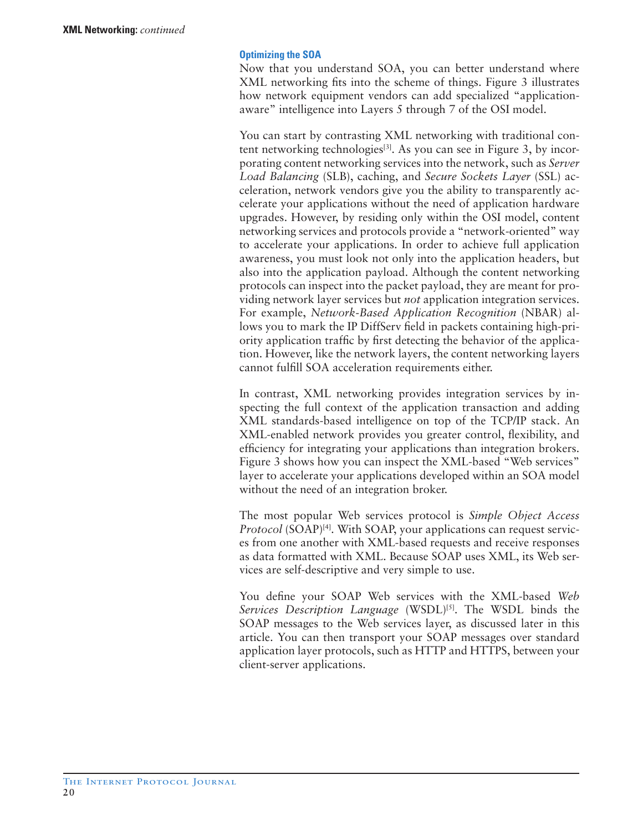#### **Optimizing the SOA**

Now that you understand SOA, you can better understand where XML networking fits into the scheme of things. Figure 3 illustrates how network equipment vendors can add specialized "applicationaware" intelligence into Layers 5 through 7 of the OSI model.

You can start by contrasting XML networking with traditional content networking technologies<sup>[3]</sup>. As you can see in Figure 3, by incorporating content networking services into the network, such as *Server Load Balancing* (SLB), caching, and *Secure Sockets Layer* (SSL) acceleration, network vendors give you the ability to transparently accelerate your applications without the need of application hardware upgrades. However, by residing only within the OSI model, content networking services and protocols provide a "network-oriented" way to accelerate your applications. In order to achieve full application awareness, you must look not only into the application headers, but also into the application payload. Although the content networking protocols can inspect into the packet payload, they are meant for providing network layer services but *not* application integration services. For example, *Network-Based Application Recognition* (NBAR) allows you to mark the IP DiffServ field in packets containing high-priority application traffic by first detecting the behavior of the application. However, like the network layers, the content networking layers cannot fulfill SOA acceleration requirements either.

In contrast, XML networking provides integration services by inspecting the full context of the application transaction and adding XML standards-based intelligence on top of the TCP/IP stack. An XML-enabled network provides you greater control, flexibility, and efficiency for integrating your applications than integration brokers. Figure 3 shows how you can inspect the XML-based "Web services" layer to accelerate your applications developed within an SOA model without the need of an integration broker.

The most popular Web services protocol is *Simple Object Access Protocol* (SOAP)<sup>[4]</sup>. With SOAP, your applications can request services from one another with XML-based requests and receive responses as data formatted with XML. Because SOAP uses XML, its Web services are self-descriptive and very simple to use.

You define your SOAP Web services with the XML-based *Web Services Description Language* (WSDL)<sup>[5]</sup>. The WSDL binds the SOAP messages to the Web services layer, as discussed later in this article. You can then transport your SOAP messages over standard application layer protocols, such as HTTP and HTTPS, between your client-server applications.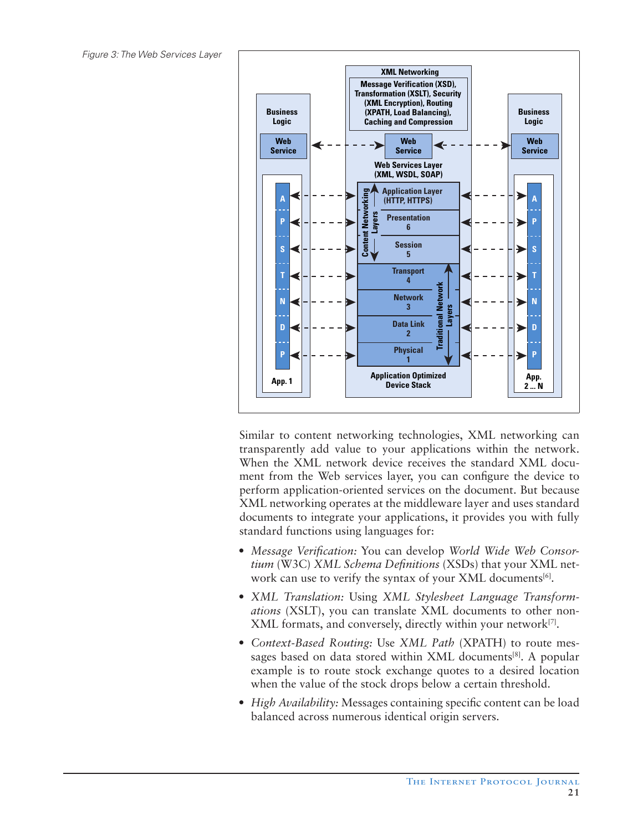Figure 3: The Web Services Layer



Similar to content networking technologies, XML networking can transparently add value to your applications within the network. When the XML network device receives the standard XML document from the Web services layer, you can configure the device to perform application-oriented services on the document. But because XML networking operates at the middleware layer and uses standard documents to integrate your applications, it provides you with fully standard functions using languages for:

- *Message Verification:* You can develop *World Wide Web Consortium* (W3C) *XML Schema Definitions* (XSDs) that your XML network can use to verify the syntax of your XML documents<sup>[6]</sup>.
- *XML Translation:* Using *XML Stylesheet Language Transformations* (XSLT), you can translate XML documents to other non-XML formats, and conversely, directly within your network<sup>[7]</sup>.
- *Context-Based Routing:* Use *XML Path* (XPATH) to route messages based on data stored within XML documents<sup>[8]</sup>. A popular example is to route stock exchange quotes to a desired location when the value of the stock drops below a certain threshold.
- *High Availability:* Messages containing specific content can be load balanced across numerous identical origin servers.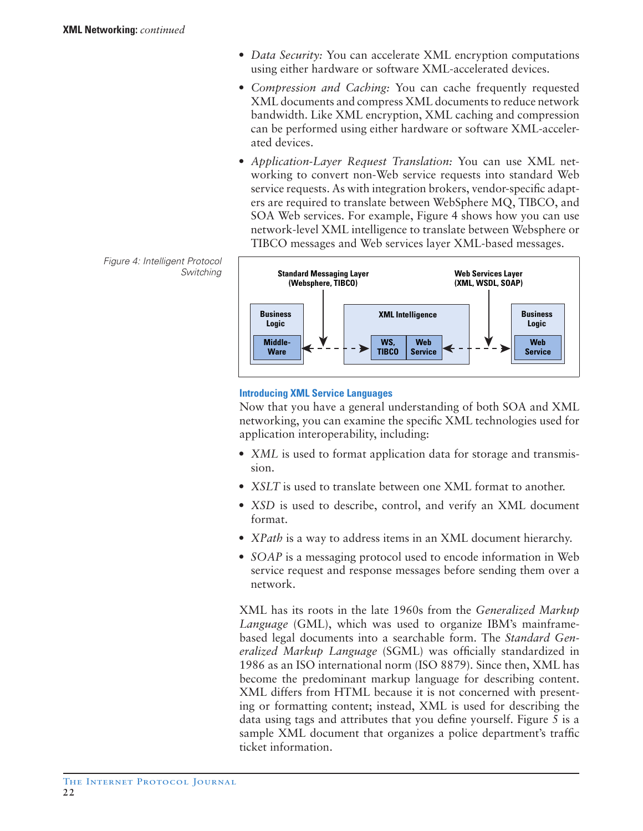- *Data Security:* You can accelerate XML encryption computations using either hardware or software XML-accelerated devices.
- *Compression and Caching:* You can cache frequently requested XML documents and compress XML documents to reduce network bandwidth. Like XML encryption, XML caching and compression can be performed using either hardware or software XML-accelerated devices.
- *Application-Layer Request Translation:* You can use XML networking to convert non-Web service requests into standard Web service requests. As with integration brokers, vendor-specific adapters are required to translate between WebSphere MQ, TIBCO, and SOA Web services. For example, Figure 4 shows how you can use network-level XML intelligence to translate between Websphere or TIBCO messages and Web services layer XML-based messages.

Figure 4: Intelligent Protocol Switching



# **Introducing XML Service Languages**

Now that you have a general understanding of both SOA and XML networking, you can examine the specific XML technologies used for application interoperability, including:

- *XML* is used to format application data for storage and transmission.
- *XSLT* is used to translate between one XML format to another.
- *XSD* is used to describe, control, and verify an XML document format.
- *XPath* is a way to address items in an XML document hierarchy.
- *SOAP* is a messaging protocol used to encode information in Web service request and response messages before sending them over a network.

XML has its roots in the late 1960s from the *Generalized Markup Language* (GML), which was used to organize IBM's mainframebased legal documents into a searchable form. The *Standard Generalized Markup Language* (SGML) was officially standardized in 1986 as an ISO international norm (ISO 8879). Since then, XML has become the predominant markup language for describing content. XML differs from HTML because it is not concerned with presenting or formatting content; instead, XML is used for describing the data using tags and attributes that you define yourself. Figure 5 is a sample XML document that organizes a police department's traffic ticket information.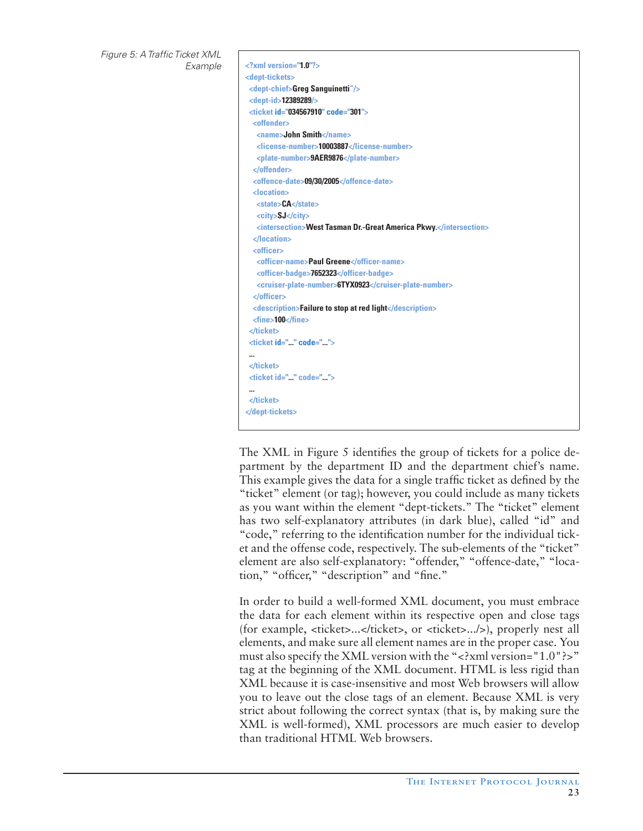Figure 5: A Traffic Ticket XML

#### Example **<?xml version="1.0"?> <dept-tickets> <dept-chief>Greg Sanguinetti"/> <dept-id>12389289/> <ticket id="034567910" code="301"> <offender> <name>John Smith</name> <license-number>10003887</license-number> <plate-number>9AER9876</plate-number> </offender> <offence-date>09/30/2005</offence-date> <location> <state>CA</state> <city>SJ</city> <intersection>West Tasman Dr.-Great America Pkwy.</intersection> </location> <officer> <officer-name>Paul Greene</officer-name> <officer-badge>7652323</officer-badge> <cruiser-plate-number>6TYX0923</cruiser-plate-number> </officer> <description>Failure to stop at red light</description> <fine>100</fine> </ticket> <ticket id="..." code="..."> ... </ticket> <ticket id="..." code="..."> ... </ticket> </dept-tickets>**

The XML in Figure 5 identifies the group of tickets for a police department by the department ID and the department chief's name. This example gives the data for a single traffic ticket as defined by the "ticket" element (or tag); however, you could include as many tickets as you want within the element "dept-tickets." The "ticket" element has two self-explanatory attributes (in dark blue), called "id" and "code," referring to the identification number for the individual ticket and the offense code, respectively. The sub-elements of the "ticket" element are also self-explanatory: "offender," "offence-date," "location," "officer," "description" and "fine."

In order to build a well-formed XML document, you must embrace the data for each element within its respective open and close tags (for example, <ticket>...</ticket>, or <ticket>.../>), properly nest all elements, and make sure all element names are in the proper case. You must also specify the XML version with the "<?xml version="1.0"?>" tag at the beginning of the XML document. HTML is less rigid than XML because it is case-insensitive and most Web browsers will allow you to leave out the close tags of an element. Because XML is very strict about following the correct syntax (that is, by making sure the XML is well-formed), XML processors are much easier to develop than traditional HTML Web browsers.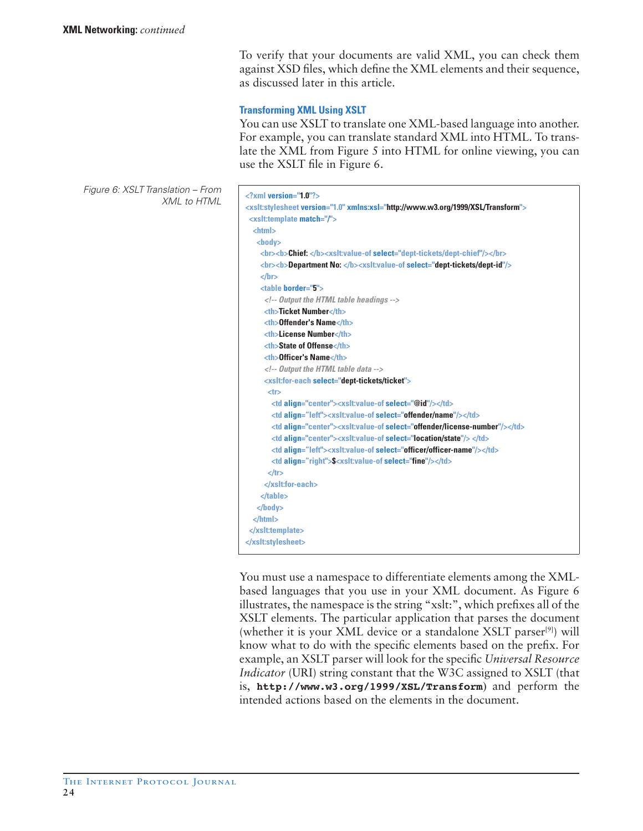To verify that your documents are valid XML, you can check them against XSD files, which define the XML elements and their sequence, as discussed later in this article.

# **Transforming XML Using XSLT**

You can use XSLT to translate one XML-based language into another. For example, you can translate standard XML into HTML. To translate the XML from Figure 5 into HTML for online viewing, you can use the XSLT file in Figure 6.

Figure 6: XSLT Translation – From **XML to HTML** 

| $\langle$ ?xml version="1.0"?>                                                                     |                                                                  |
|----------------------------------------------------------------------------------------------------|------------------------------------------------------------------|
| <xslt:stylesheet version="1.0" xmlns:xsl="http://www.w3.org/1999/XSL/Transform"></xslt:stylesheet> |                                                                  |
| <xslt:template match="/"></xslt:template>                                                          |                                                                  |
| $th$ thtm $ $                                                                                      |                                                                  |
| $<$ body $>$                                                                                       |                                                                  |
| <br><b>&gt;&gt;&gt;Chief: </b> <xslt:value-of select="dept-tickets/dept-chief"></xslt:value-of>    |                                                                  |
| <br><b>Department No: </b> <xslt:value-of select="dept-tickets/dept-id"></xslt:value-of>           |                                                                  |
| $<$ /br>                                                                                           |                                                                  |
| <table border="5"></table>                                                                         |                                                                  |
| $\langle$ -- Output the HTML table headings -->                                                    |                                                                  |
| <th>Ticket Number</th>                                                                             | Ticket Number                                                    |
| <th>Offender's Name</th>                                                                           | Offender's Name                                                  |
| <th>License Number</th>                                                                            | License Number                                                   |
| <th>State of Offense</th>                                                                          | State of Offense                                                 |
| <th>Officer's Name</th>                                                                            | Officer's Name                                                   |
| Output the HTML table data                                                                         |                                                                  |
| <xslt:for-each select="dept-tickets/ticket"></xslt:for-each>                                       |                                                                  |
| <tr></tr>                                                                                          |                                                                  |
|                                                                                                    |                                                                  |
| <td align="center"><xslt:value-of select="@id"></xslt:value-of></td>                               | <xslt:value-of select="@id"></xslt:value-of>                     |
| <td align="left"><xslt:value-of select="offender/name"></xslt:value-of></td>                       | <xslt:value-of select="offender/name"></xslt:value-of>           |
| <td align="center"><xslt:value-of select="offender/license-number"></xslt:value-of></td>           | <xslt:value-of select="offender/license-number"></xslt:value-of> |
| <td align="center"><xslt:value-of select="location/state"></xslt:value-of></td>                    | <xslt:value-of select="location/state"></xslt:value-of>          |
| <td align="left"><xslt:value-of select="officer/officer-name"></xslt:value-of></td>                | <xslt:value-of select="officer/officer-name"></xslt:value-of>    |
| <td align="right">\$<xslt:value-of select="fine"></xslt:value-of></td>                             | \$ <xslt:value-of select="fine"></xslt:value-of>                 |
| $<$ /tr $>$                                                                                        |                                                                  |
|                                                                                                    |                                                                  |
| $<$ /table $>$                                                                                     |                                                                  |
| $<$ /body>                                                                                         |                                                                  |
| $<$ /html $>$                                                                                      |                                                                  |
|                                                                                                    |                                                                  |
|                                                                                                    |                                                                  |

You must use a namespace to differentiate elements among the XMLbased languages that you use in your XML document. As Figure 6 illustrates, the namespace is the string "xslt:", which prefixes all of the XSLT elements. The particular application that parses the document (whether it is your XML device or a standalone XSLT parser<sup>[9]</sup>) will know what to do with the specific elements based on the prefix. For example, an XSLT parser will look for the specific *Universal Resource Indicator* (URI) string constant that the W3C assigned to XSLT (that is, **http://www.w3.org/1999/XSL/Transform**) and perform the intended actions based on the elements in the document.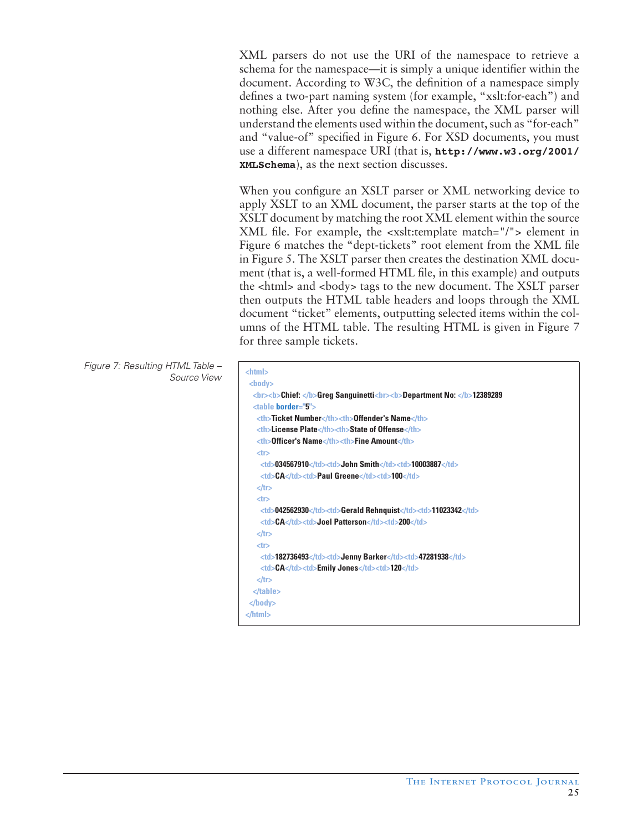XML parsers do not use the URI of the namespace to retrieve a schema for the namespace—it is simply a unique identifier within the document. According to W3C, the definition of a namespace simply defines a two-part naming system (for example, "xslt:for-each") and nothing else. After you define the namespace, the XML parser will understand the elements used within the document, such as "for-each" and "value-of" specified in Figure 6. For XSD documents, you must use a different namespace URI (that is, **http://www.w3.org/2001/ XMLSchema**), as the next section discusses.

When you configure an XSLT parser or XML networking device to apply XSLT to an XML document, the parser starts at the top of the XSLT document by matching the root XML element within the source XML file. For example, the <xslt:template match="/"> element in Figure 6 matches the "dept-tickets" root element from the XML file in Figure 5. The XSLT parser then creates the destination XML document (that is, a well-formed HTML file, in this example) and outputs the <html> and <br/>stody> tags to the new document. The XSLT parser then outputs the HTML table headers and loops through the XML document "ticket" elements, outputting selected items within the columns of the HTML table. The resulting HTML is given in Figure 7 for three sample tickets.

Figure 7: Resulting HTML Table – Source View **<html>**

```
 <body>
   <br><b>Chief: </b>Greg Sanguinetti<br><b>Department No: </b>12389289
   <table border="5">
    <th>Ticket Number</th><th>Offender's Name</th>
    <th>License Plate</th><th>State of Offense</th>
    <th>Officer's Name</th><th>Fine Amount</th> 
    <tr>
    <td>034567910</td><td>John Smith</td><td>10003887</td>
    <td>CA</td><td>Paul Greene</td><td>100</td>
    </tr>
    <tr>
    <td>042562930</td><td>Gerald Rehnquist</td><td>11023342</td>
    <td>CA</td><td>Joel Patterson</td><td>200</td>
    </tr>
   <tr>
    <td>182736493</td><td>Jenny Barker</td><td>47281938</td>
    <td>CA</td><td>Emily Jones</td><td>120</td>
   </tr>
   </table>
 </body>
</html>
```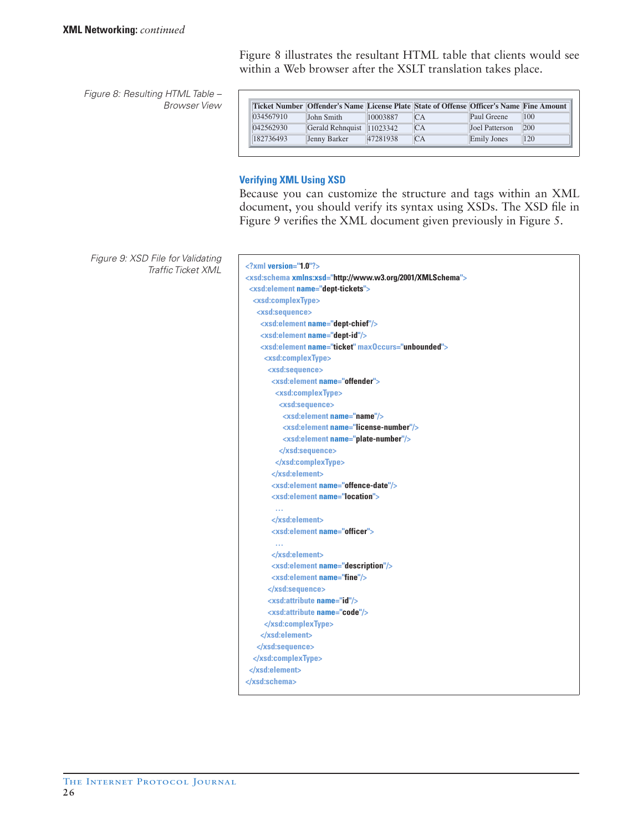Figure 8: Resulting HTML Table – Browser View

|           | <b>Ticket Number   Offender's Name   License Plate   State of Offense   Officer's Name   Fine Amount  </b> |          |    |                    |     |
|-----------|------------------------------------------------------------------------------------------------------------|----------|----|--------------------|-----|
| 034567910 | John Smith                                                                                                 | 10003887 | СA | Paul Greene        | 100 |
| 042562930 | Gerald Rehnquist 11023342                                                                                  |          | CA | Joel Patterson     | 200 |
| 182736493 | Jenny Barker                                                                                               | 47281938 | CA | <b>Emily Jones</b> | 120 |

Figure 8 illustrates the resultant HTML table that clients would see

within a Web browser after the XSLT translation takes place.

#### **Verifying XML Using XSD**

Because you can customize the structure and tags within an XML document, you should verify its syntax using XSDs. The XSD file in Figure 9 verifies the XML document given previously in Figure 5.

Figure 9: XSD File for Validating Traffic Ticket XML **<?xml version="1.0"?>**

```
<xsd:schema xmlns:xsd="http://www.w3.org/2001/XMLSchema">
 <xsd:element name="dept-tickets">
  <xsd:complexType>
   <xsd:sequence>
    <xsd:element name="dept-chief"/>
    <xsd:element name="dept-id"/>
    <xsd:element name="ticket" maxOccurs="unbounded">
     <xsd:complexType>
      <xsd:sequence>
       <xsd:element name="offender">
        <xsd:complexType>
         <xsd:sequence>
          <xsd:element name="name"/>
           <xsd:element name="license-number"/>
          <xsd:element name="plate-number"/>
         </xsd:sequence>
        </xsd:complexType>
       </xsd:element>
       <xsd:element name="offence-date"/>
       <xsd:element name="location">
 …
       </xsd:element>
       <xsd:element name="officer">
       </xsd:element>
       <xsd:element name="description"/>
       <xsd:element name="fine"/>
      </xsd:sequence>
      <xsd:attribute name="id"/>
      <xsd:attribute name="code"/>
     </xsd:complexType>
    </xsd:element> 
    </xsd:sequence>
  </xsd:complexType>
 </xsd:element>
</xsd:schema>
```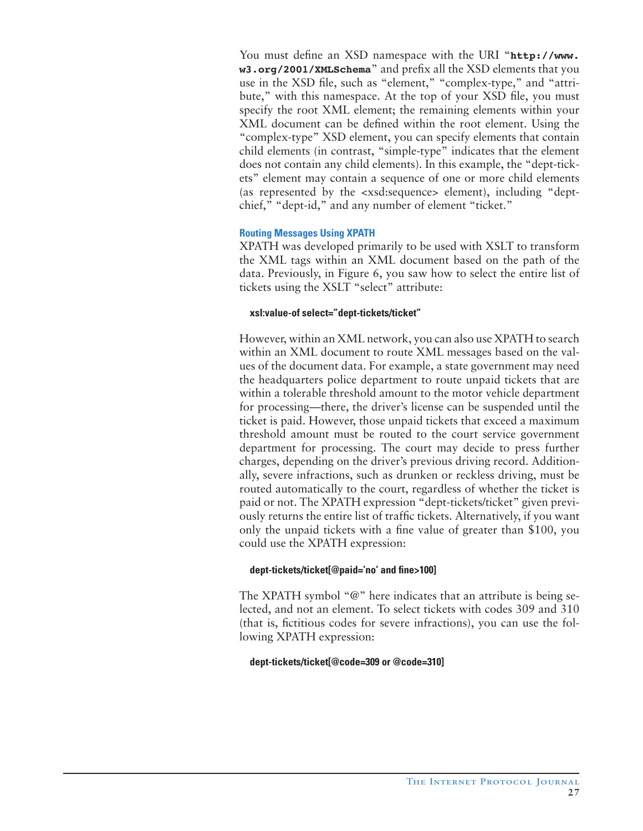You must define an XSD namespace with the URI "**http://www. w3.org/2001/XMLSchema**" and prefix all the XSD elements that you use in the XSD file, such as "element," "complex-type," and "attribute," with this namespace. At the top of your XSD file, you must specify the root XML element; the remaining elements within your XML document can be defined within the root element. Using the "complex-type" XSD element, you can specify elements that contain child elements (in contrast, "simple-type" indicates that the element does not contain any child elements). In this example, the "dept-tickets" element may contain a sequence of one or more child elements (as represented by the <xsd:sequence> element), including "deptchief," "dept-id," and any number of element "ticket."

# **Routing Messages Using XPATH**

XPATH was developed primarily to be used with XSLT to transform the XML tags within an XML document based on the path of the data. Previously, in Figure 6, you saw how to select the entire list of tickets using the XSLT "select" attribute:

# **xsl:value-of select="dept-tickets/ticket"**

However, within an XML network, you can also use XPATH to search within an XML document to route XML messages based on the values of the document data. For example, a state government may need the headquarters police department to route unpaid tickets that are within a tolerable threshold amount to the motor vehicle department for processing—there, the driver's license can be suspended until the ticket is paid. However, those unpaid tickets that exceed a maximum threshold amount must be routed to the court service government department for processing. The court may decide to press further charges, depending on the driver's previous driving record. Additionally, severe infractions, such as drunken or reckless driving, must be routed automatically to the court, regardless of whether the ticket is paid or not. The XPATH expression "dept-tickets/ticket" given previously returns the entire list of traffic tickets. Alternatively, if you want only the unpaid tickets with a fine value of greater than \$100, you could use the XPATH expression:

# **dept-tickets/ticket[@paid='no' and fine>100]**

The XPATH symbol "@" here indicates that an attribute is being selected, and not an element. To select tickets with codes 309 and 310 (that is, fictitious codes for severe infractions), you can use the following XPATH expression:

# **dept-tickets/ticket[@code=309 or @code=310]**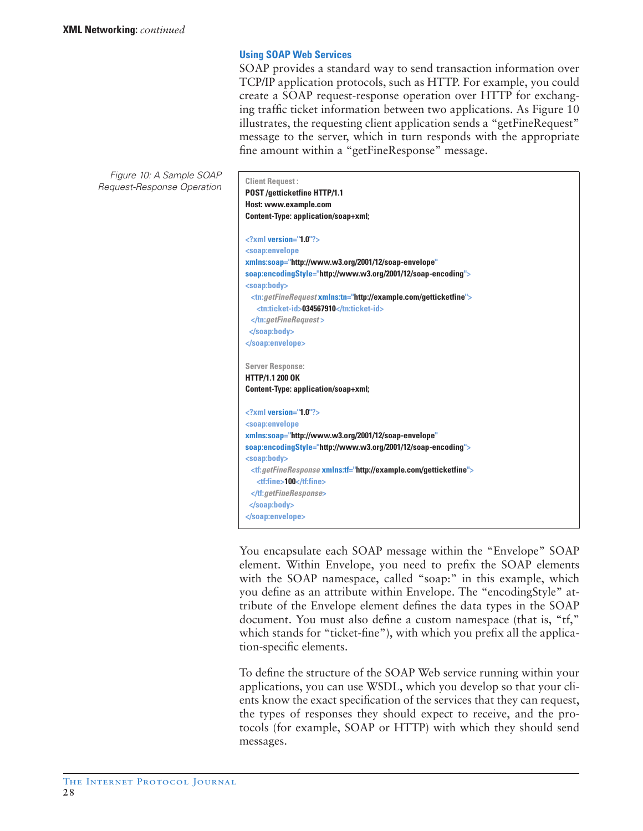# **Using SOAP Web Services**

SOAP provides a standard way to send transaction information over TCP/IP application protocols, such as HTTP. For example, you could create a SOAP request-response operation over HTTP for exchanging traffic ticket information between two applications. As Figure 10 illustrates, the requesting client application sends a "getFineRequest" message to the server, which in turn responds with the appropriate fine amount within a "getFineResponse" message.

Figure 10: A Sample SOAP Request-Response Operation **Client Request :**

| POST /getticketfine HTTP/1.1                                                          |
|---------------------------------------------------------------------------------------|
| Host: www.example.com                                                                 |
| Content-Type: application/soap+xml;                                                   |
| $\langle$ ?xml version="1.0"?>                                                        |
| <soap:envelope< td=""></soap:envelope<>                                               |
| xmlns:soap="http://www.w3.org/2001/12/soap-envelope"                                  |
| soap:encodingStyle="http://www.w3.org/2001/12/soap-encoding">                         |
| <soap:body></soap:body>                                                               |
| <tn:getfinerequest xmlns:tn="http://example.com/getticketfine"></tn:getfinerequest>   |
| <tn:ticket-id>034567910</tn:ticket-id>                                                |
| $\langle$ tn:getFineRequest>                                                          |
|                                                                                       |
|                                                                                       |
| <b>Server Response:</b>                                                               |
| <b>HTTP/1.1 200 OK</b>                                                                |
| Content-Type: application/soap+xml;                                                   |
| $\langle$ ?xml version="1.0"?>                                                        |
| <soap:envelope< td=""></soap:envelope<>                                               |
| xmlns:soap="http://www.w3.org/2001/12/soap-envelope"                                  |
| soap:encodingStyle="http://www.w3.org/2001/12/soap-encoding">                         |
| <soap:body></soap:body>                                                               |
| <tf:getfineresponse xmlns:tf="http://example.com/getticketfine"></tf:getfineresponse> |
| <tf:fine>100</tf:fine>                                                                |
|                                                                                       |
|                                                                                       |
|                                                                                       |

You encapsulate each SOAP message within the "Envelope" SOAP element. Within Envelope, you need to prefix the SOAP elements with the SOAP namespace, called "soap:" in this example, which you define as an attribute within Envelope. The "encodingStyle" attribute of the Envelope element defines the data types in the SOAP document. You must also define a custom namespace (that is, "tf," which stands for "ticket-fine"), with which you prefix all the application-specific elements.

To define the structure of the SOAP Web service running within your applications, you can use WSDL, which you develop so that your clients know the exact specification of the services that they can request, the types of responses they should expect to receive, and the protocols (for example, SOAP or HTTP) with which they should send messages.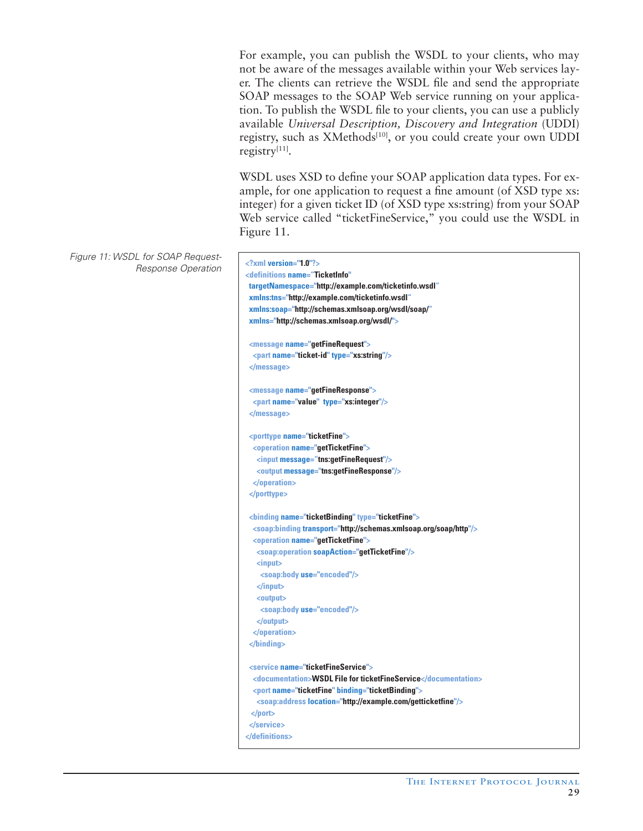For example, you can publish the WSDL to your clients, who may not be aware of the messages available within your Web services layer. The clients can retrieve the WSDL file and send the appropriate SOAP messages to the SOAP Web service running on your application. To publish the WSDL file to your clients, you can use a publicly available *Universal Description, Discovery and Integration* (UDDI) registry, such as XMethods<sup>[10]</sup>, or you could create your own UDDI registry[11].

WSDL uses XSD to define your SOAP application data types. For example, for one application to request a fine amount (of XSD type xs: integer) for a given ticket ID (of XSD type xs:string) from your SOAP Web service called "ticketFineService," you could use the WSDL in Figure 11.

Figure 11: WSDL for SOAP Request-Response Operation **<?xml version="1.0"?>**

```
<definitions name="TicketInfo" 
targetNamespace="http://example.com/ticketinfo.wsdl"
xmlns:tns="http://example.com/ticketinfo.wsdl"
xmlns:soap="http://schemas.xmlsoap.org/wsdl/soap/" 
xmlns="http://schemas.xmlsoap.org/wsdl/"> 
 <message name="getFineRequest">
  <part name="ticket-id" type="xs:string"/>
 </message>
 <message name="getFineResponse">
  <part name="value" type="xs:integer"/>
 </message>
 <porttype name="ticketFine">
  <operation name="getTicketFine">
   <input message="tns:getFineRequest"/>
   <output message="tns:getFineResponse"/>
  </operation>
 </porttype>
 <binding name="ticketBinding" type="ticketFine">
  <soap:binding transport="http://schemas.xmlsoap.org/soap/http"/>
   <operation name="getTicketFine">
   <soap:operation soapAction="getTicketFine"/>
   <input>
    <soap:body use="encoded"/>
    </input>
    <output>
     <soap:body use="encoded"/>
   </output>
   </operation>
 </binding>
 <service name="ticketFineService">
  <documentation>WSDL File for ticketFineService</documentation>
  <port name="ticketFine" binding="ticketBinding">
   <soap:address location="http://example.com/getticketfine"/>
  </port>
 </service> 
</definitions>
```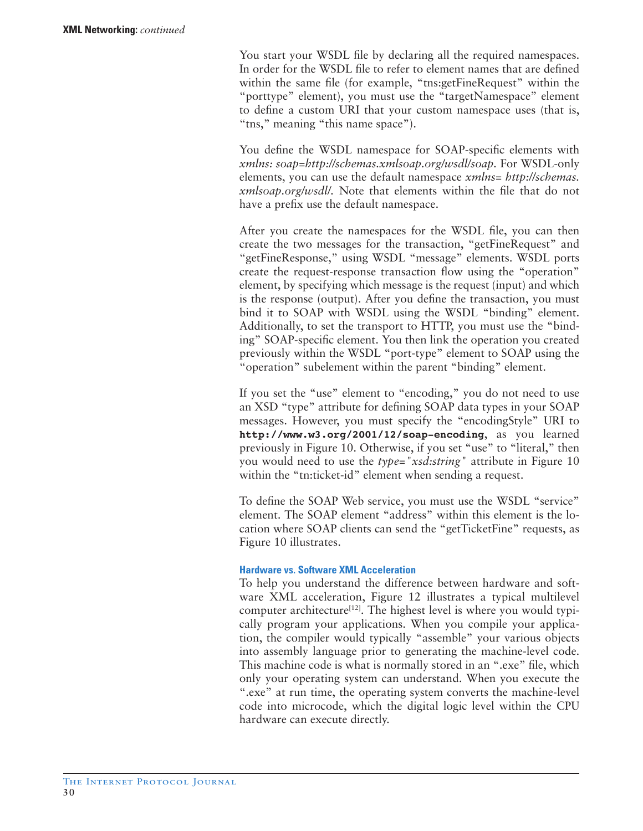You start your WSDL file by declaring all the required namespaces. In order for the WSDL file to refer to element names that are defined within the same file (for example, "tns:getFineRequest" within the "porttype" element), you must use the "targetNamespace" element to define a custom URI that your custom namespace uses (that is, "tns," meaning "this name space").

You define the WSDL namespace for SOAP-specific elements with *xmlns: soap=http://schemas.xmlsoap.org/wsdl/soap.* For WSDL-only elements, you can use the default namespace *xmlns= http://schemas. xmlsoap.org/wsdl/.* Note that elements within the file that do not have a prefix use the default namespace.

After you create the namespaces for the WSDL file, you can then create the two messages for the transaction, "getFineRequest" and "getFineResponse," using WSDL "message" elements. WSDL ports create the request-response transaction flow using the "operation" element, by specifying which message is the request (input) and which is the response (output). After you define the transaction, you must bind it to SOAP with WSDL using the WSDL "binding" element. Additionally, to set the transport to HTTP, you must use the "binding" SOAP-specific element. You then link the operation you created previously within the WSDL "port-type" element to SOAP using the "operation" subelement within the parent "binding" element.

If you set the "use" element to "encoding," you do not need to use an XSD "type" attribute for defining SOAP data types in your SOAP messages. However, you must specify the "encodingStyle" URI to **http://www.w3.org/2001/12/soap-encoding**, as you learned previously in Figure 10. Otherwise, if you set "use" to "literal," then you would need to use the *type="xsd:string"* attribute in Figure 10 within the "tn:ticket-id" element when sending a request.

To define the SOAP Web service, you must use the WSDL "service" element. The SOAP element "address" within this element is the location where SOAP clients can send the "getTicketFine" requests, as Figure 10 illustrates.

# **Hardware vs. Software XML Acceleration**

To help you understand the difference between hardware and software XML acceleration, Figure 12 illustrates a typical multilevel computer architecture<sup>[12]</sup>. The highest level is where you would typically program your applications. When you compile your application, the compiler would typically "assemble" your various objects into assembly language prior to generating the machine-level code. This machine code is what is normally stored in an ".exe" file, which only your operating system can understand. When you execute the ".exe" at run time, the operating system converts the machine-level code into microcode, which the digital logic level within the CPU hardware can execute directly.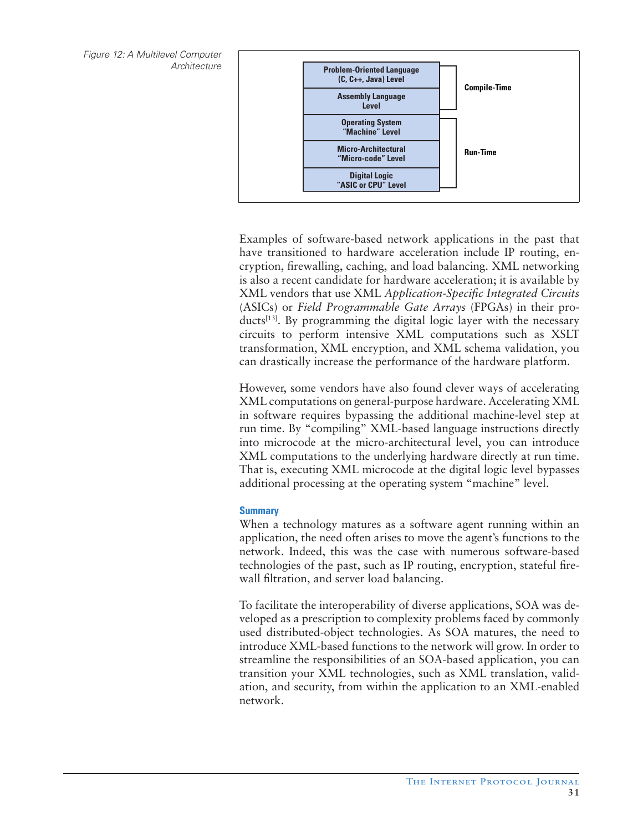Figure 12: A Multilevel Computer **Architecture** 



Examples of software-based network applications in the past that have transitioned to hardware acceleration include IP routing, encryption, firewalling, caching, and load balancing. XML networking is also a recent candidate for hardware acceleration; it is available by XML vendors that use XML *Application-Specific Integrated Circuits*  (ASICs) or *Field Programmable Gate Arrays* (FPGAs) in their products<sup>[13]</sup>. By programming the digital logic layer with the necessary circuits to perform intensive XML computations such as XSLT transformation, XML encryption, and XML schema validation, you can drastically increase the performance of the hardware platform.

However, some vendors have also found clever ways of accelerating XML computations on general-purpose hardware. Accelerating XML in software requires bypassing the additional machine-level step at run time. By "compiling" XML-based language instructions directly into microcode at the micro-architectural level, you can introduce XML computations to the underlying hardware directly at run time. That is, executing XML microcode at the digital logic level bypasses additional processing at the operating system "machine" level.

# **Summary**

When a technology matures as a software agent running within an application, the need often arises to move the agent's functions to the network. Indeed, this was the case with numerous software-based technologies of the past, such as IP routing, encryption, stateful firewall filtration, and server load balancing.

To facilitate the interoperability of diverse applications, SOA was developed as a prescription to complexity problems faced by commonly used distributed-object technologies. As SOA matures, the need to introduce XML-based functions to the network will grow. In order to streamline the responsibilities of an SOA-based application, you can transition your XML technologies, such as XML translation, validation, and security, from within the application to an XML-enabled network.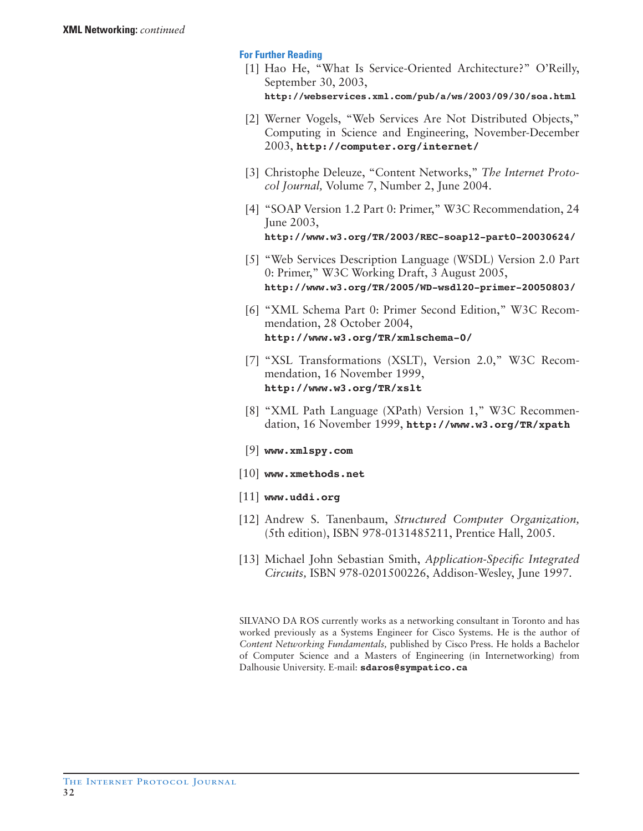# **For Further Reading**

- [1] Hao He, "What Is Service-Oriented Architecture?" O'Reilly, September 30, 2003, **http://webservices.xml.com/pub/a/ws/2003/09/30/soa.html**
- [2] Werner Vogels, "Web Services Are Not Distributed Objects," Computing in Science and Engineering, November-December 2003, **http://computer.org/internet/**
- [3] Christophe Deleuze, "Content Networks," *The Internet Protocol Journal,* Volume 7, Number 2, June 2004.
- [4] "SOAP Version 1.2 Part 0: Primer," W3C Recommendation, 24 June 2003, **http://www.w3.org/TR/2003/REC-soap12-part0-20030624/**
- [5] "Web Services Description Language (WSDL) Version 2.0 Part 0: Primer," W3C Working Draft, 3 August 2005, **http://www.w3.org/TR/2005/WD-wsdl20-primer-20050803/**
- [6] "XML Schema Part 0: Primer Second Edition," W3C Recommendation, 28 October 2004, **http://www.w3.org/TR/xmlschema-0/**
- [7] "XSL Transformations (XSLT), Version 2.0," W3C Recommendation, 16 November 1999, **http://www.w3.org/TR/xslt**
- [8] "XML Path Language (XPath) Version 1," W3C Recommendation, 16 November 1999, **http://www.w3.org/TR/xpath**
- [9] **www.xmlspy.com**
- [10] **www.xmethods.net**
- [11] **www.uddi.org**
- [12] Andrew S. Tanenbaum, *Structured Computer Organization,*  (5th edition), ISBN 978-0131485211, Prentice Hall, 2005.
- [13] Michael John Sebastian Smith, *Application-Specific Integrated Circuits,* ISBN 978-0201500226, Addison-Wesley, June 1997.

SILVANO DA ROS currently works as a networking consultant in Toronto and has worked previously as a Systems Engineer for Cisco Systems. He is the author of *Content Networking Fundamentals,* published by Cisco Press. He holds a Bachelor of Computer Science and a Masters of Engineering (in Internetworking) from Dalhousie University. E-mail: **sdaros@sympatico.ca**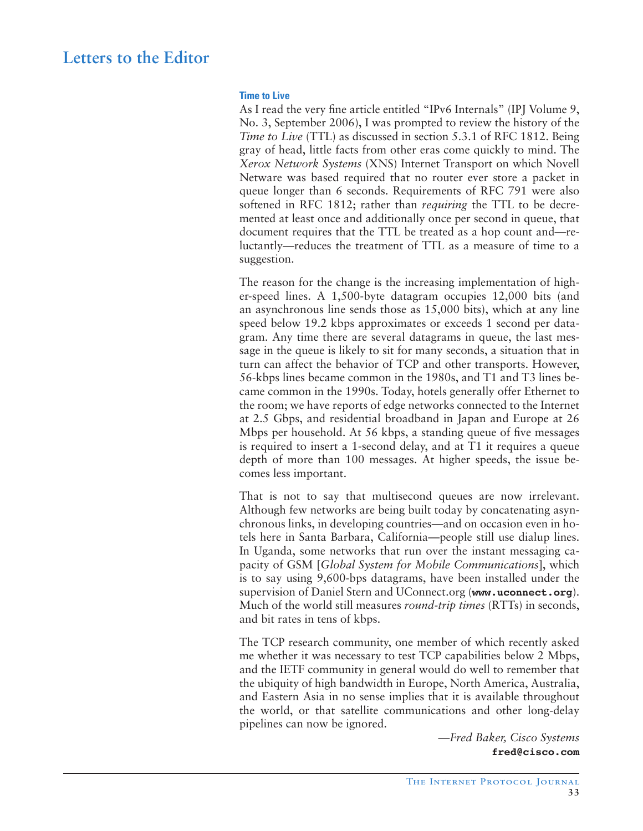# **Letters to the Editor**

#### **Time to Live**

As I read the very fine article entitled "IPv6 Internals" (IPJ Volume 9, No. 3, September 2006), I was prompted to review the history of the *Time to Live* (TTL) as discussed in section 5.3.1 of RFC 1812. Being gray of head, little facts from other eras come quickly to mind. The *Xerox Network Systems* (XNS) Internet Transport on which Novell Netware was based required that no router ever store a packet in queue longer than 6 seconds. Requirements of RFC 791 were also softened in RFC 1812; rather than *requiring* the TTL to be decremented at least once and additionally once per second in queue, that document requires that the TTL be treated as a hop count and—reluctantly—reduces the treatment of TTL as a measure of time to a suggestion.

The reason for the change is the increasing implementation of higher-speed lines. A 1,500-byte datagram occupies 12,000 bits (and an asynchronous line sends those as 15,000 bits), which at any line speed below 19.2 kbps approximates or exceeds 1 second per datagram. Any time there are several datagrams in queue, the last message in the queue is likely to sit for many seconds, a situation that in turn can affect the behavior of TCP and other transports. However, 56-kbps lines became common in the 1980s, and T1 and T3 lines became common in the 1990s. Today, hotels generally offer Ethernet to the room; we have reports of edge networks connected to the Internet at 2.5 Gbps, and residential broadband in Japan and Europe at 26 Mbps per household. At 56 kbps, a standing queue of five messages is required to insert a 1-second delay, and at T1 it requires a queue depth of more than 100 messages. At higher speeds, the issue becomes less important.

That is not to say that multisecond queues are now irrelevant. Although few networks are being built today by concatenating asynchronous links, in developing countries—and on occasion even in hotels here in Santa Barbara, California—people still use dialup lines. In Uganda, some networks that run over the instant messaging capacity of GSM [*Global System for Mobile Communications*], which is to say using 9,600-bps datagrams, have been installed under the supervision of Daniel Stern and UConnect.org (**www.uconnect.org**). Much of the world still measures *round-trip times* (RTTs) in seconds, and bit rates in tens of kbps.

The TCP research community, one member of which recently asked me whether it was necessary to test TCP capabilities below 2 Mbps, and the IETF community in general would do well to remember that the ubiquity of high bandwidth in Europe, North America, Australia, and Eastern Asia in no sense implies that it is available throughout the world, or that satellite communications and other long-delay pipelines can now be ignored.

> *—Fred Baker, Cisco Systems* **fred@cisco.com**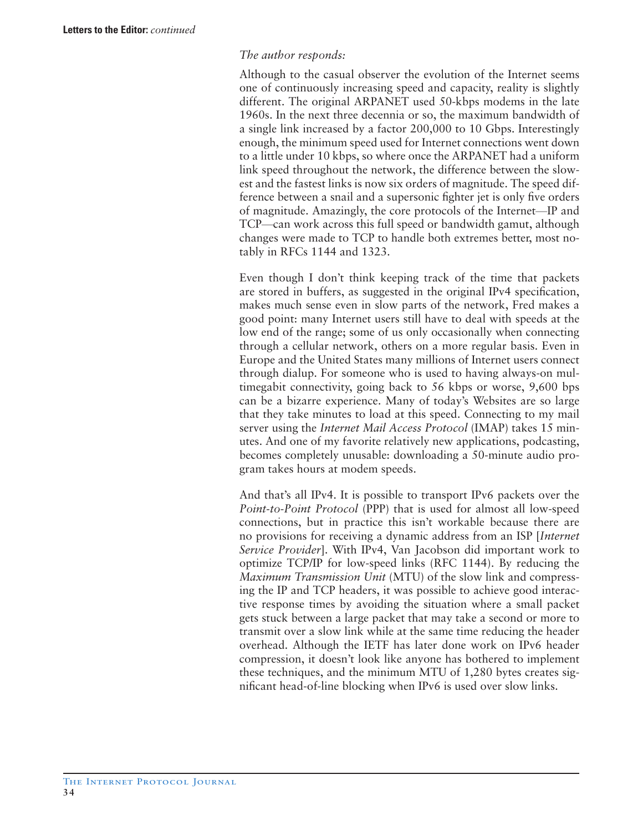# *The author responds:*

Although to the casual observer the evolution of the Internet seems one of continuously increasing speed and capacity, reality is slightly different. The original ARPANET used 50-kbps modems in the late 1960s. In the next three decennia or so, the maximum bandwidth of a single link increased by a factor 200,000 to 10 Gbps. Interestingly enough, the minimum speed used for Internet connections went down to a little under 10 kbps, so where once the ARPANET had a uniform link speed throughout the network, the difference between the slowest and the fastest links is now six orders of magnitude. The speed difference between a snail and a supersonic fighter jet is only five orders of magnitude. Amazingly, the core protocols of the Internet—IP and TCP—can work across this full speed or bandwidth gamut, although changes were made to TCP to handle both extremes better, most notably in RFCs 1144 and 1323.

Even though I don't think keeping track of the time that packets are stored in buffers, as suggested in the original IPv4 specification, makes much sense even in slow parts of the network, Fred makes a good point: many Internet users still have to deal with speeds at the low end of the range; some of us only occasionally when connecting through a cellular network, others on a more regular basis. Even in Europe and the United States many millions of Internet users connect through dialup. For someone who is used to having always-on multimegabit connectivity, going back to 56 kbps or worse, 9,600 bps can be a bizarre experience. Many of today's Websites are so large that they take minutes to load at this speed. Connecting to my mail server using the *Internet Mail Access Protocol* (IMAP) takes 15 minutes. And one of my favorite relatively new applications, podcasting, becomes completely unusable: downloading a 50-minute audio program takes hours at modem speeds.

And that's all IPv4. It is possible to transport IPv6 packets over the *Point-to-Point Protocol* (PPP) that is used for almost all low-speed connections, but in practice this isn't workable because there are no provisions for receiving a dynamic address from an ISP [*Internet Service Provider*]. With IPv4, Van Jacobson did important work to optimize TCP/IP for low-speed links (RFC 1144). By reducing the *Maximum Transmission Unit* (MTU) of the slow link and compressing the IP and TCP headers, it was possible to achieve good interactive response times by avoiding the situation where a small packet gets stuck between a large packet that may take a second or more to transmit over a slow link while at the same time reducing the header overhead. Although the IETF has later done work on IPv6 header compression, it doesn't look like anyone has bothered to implement these techniques, and the minimum MTU of 1,280 bytes creates significant head-of-line blocking when IPv6 is used over slow links.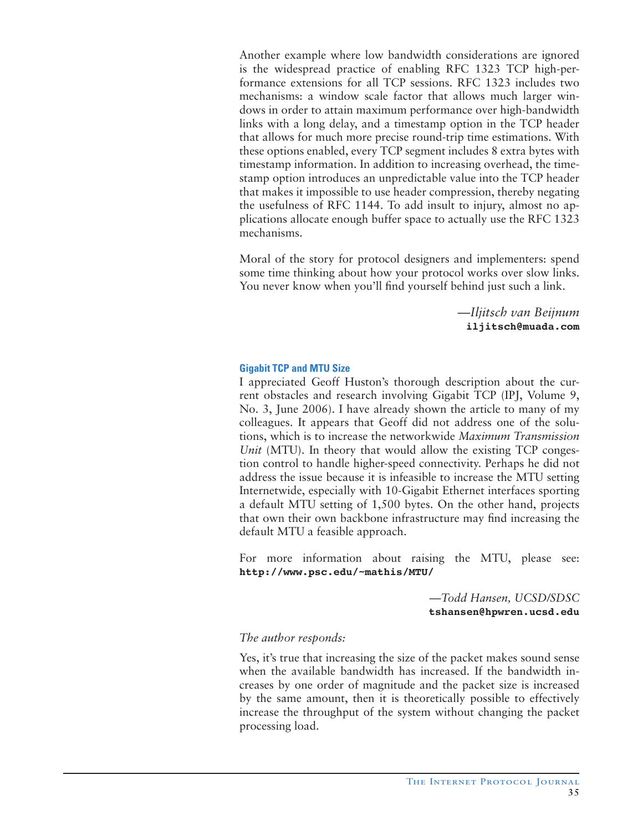Another example where low bandwidth considerations are ignored is the widespread practice of enabling RFC 1323 TCP high-performance extensions for all TCP sessions. RFC 1323 includes two mechanisms: a window scale factor that allows much larger windows in order to attain maximum performance over high-bandwidth links with a long delay, and a timestamp option in the TCP header that allows for much more precise round-trip time estimations. With these options enabled, every TCP segment includes 8 extra bytes with timestamp information. In addition to increasing overhead, the timestamp option introduces an unpredictable value into the TCP header that makes it impossible to use header compression, thereby negating the usefulness of RFC 1144. To add insult to injury, almost no applications allocate enough buffer space to actually use the RFC 1323 mechanisms.

Moral of the story for protocol designers and implementers: spend some time thinking about how your protocol works over slow links. You never know when you'll find yourself behind just such a link.

> *—Iljitsch van Beijnum* **iljitsch@muada.com**

# **Gigabit TCP and MTU Size**

I appreciated Geoff Huston's thorough description about the current obstacles and research involving Gigabit TCP (IPJ, Volume 9, No. 3, June 2006). I have already shown the article to many of my colleagues. It appears that Geoff did not address one of the solutions, which is to increase the networkwide *Maximum Transmission Unit* (MTU). In theory that would allow the existing TCP congestion control to handle higher-speed connectivity. Perhaps he did not address the issue because it is infeasible to increase the MTU setting Internetwide, especially with 10-Gigabit Ethernet interfaces sporting a default MTU setting of 1,500 bytes. On the other hand, projects that own their own backbone infrastructure may find increasing the default MTU a feasible approach.

For more information about raising the MTU, please see: **http://www.psc.edu/~mathis/MTU/**

> *—Todd Hansen, UCSD/SDSC* **tshansen@hpwren.ucsd.edu**

#### *The author responds:*

Yes, it's true that increasing the size of the packet makes sound sense when the available bandwidth has increased. If the bandwidth increases by one order of magnitude and the packet size is increased by the same amount, then it is theoretically possible to effectively increase the throughput of the system without changing the packet processing load.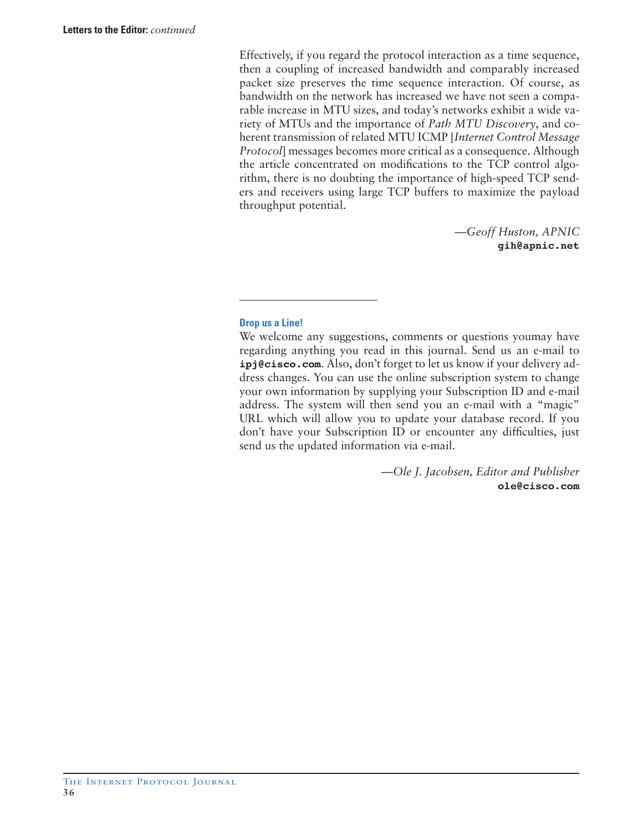Effectively, if you regard the protocol interaction as a time sequence, then a coupling of increased bandwidth and comparably increased packet size preserves the time sequence interaction. Of course, as bandwidth on the network has increased we have not seen a comparable increase in MTU sizes, and today's networks exhibit a wide variety of MTUs and the importance of *Path MTU Discovery*, and coherent transmission of related MTU ICMP [*Internet Control Message Protocol*] messages becomes more critical as a consequence. Although the article concentrated on modifications to the TCP control algorithm, there is no doubting the importance of high-speed TCP senders and receivers using large TCP buffers to maximize the payload throughput potential.

> *—Geoff Huston, APNIC* **gih@apnic.net**

# **Drop us a Line!**

\_\_\_\_\_\_\_\_\_\_\_\_\_\_\_\_\_\_\_\_\_\_\_\_

We welcome any suggestions, comments or questions youmay have regarding anything you read in this journal. Send us an e-mail to **ipj@cisco.com**. Also, don't forget to let us know if your delivery address changes. You can use the online subscription system to change your own information by supplying your Subscription ID and e-mail address. The system will then send you an e-mail with a "magic" URL which will allow you to update your database record. If you don't have your Subscription ID or encounter any difficulties, just send us the updated information via e-mail.

> *—Ole J. Jacobsen, Editor and Publisher*  **ole@cisco.com**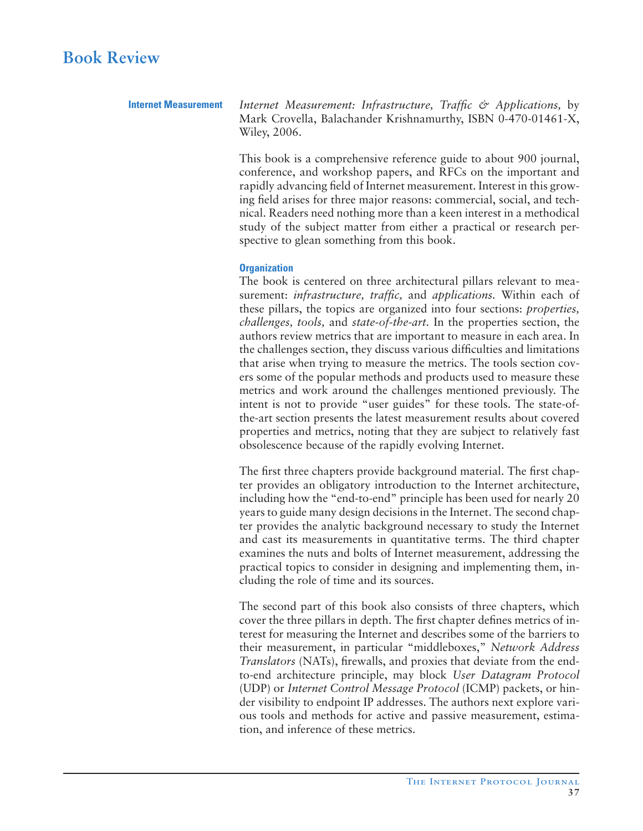**Internet Measurement** *Internet Measurement: Infrastructure, Traffic & Applications,* by Mark Crovella, Balachander Krishnamurthy, ISBN 0-470-01461-X, Wiley, 2006.

> This book is a comprehensive reference guide to about 900 journal, conference, and workshop papers, and RFCs on the important and rapidly advancing field of Internet measurement. Interest in this growing field arises for three major reasons: commercial, social, and technical. Readers need nothing more than a keen interest in a methodical study of the subject matter from either a practical or research perspective to glean something from this book.

# **Organization**

The book is centered on three architectural pillars relevant to measurement: *infrastructure, traffic,* and *applications.* Within each of these pillars, the topics are organized into four sections: *properties, challenges, tools,* and *state-of-the-art.* In the properties section, the authors review metrics that are important to measure in each area. In the challenges section, they discuss various difficulties and limitations that arise when trying to measure the metrics. The tools section covers some of the popular methods and products used to measure these metrics and work around the challenges mentioned previously. The intent is not to provide "user guides" for these tools. The state-ofthe-art section presents the latest measurement results about covered properties and metrics, noting that they are subject to relatively fast obsolescence because of the rapidly evolving Internet.

The first three chapters provide background material. The first chapter provides an obligatory introduction to the Internet architecture, including how the "end-to-end" principle has been used for nearly 20 years to guide many design decisions in the Internet. The second chapter provides the analytic background necessary to study the Internet and cast its measurements in quantitative terms. The third chapter examines the nuts and bolts of Internet measurement, addressing the practical topics to consider in designing and implementing them, including the role of time and its sources.

The second part of this book also consists of three chapters, which cover the three pillars in depth. The first chapter defines metrics of interest for measuring the Internet and describes some of the barriers to their measurement, in particular "middleboxes," *Network Address Translators* (NATs), firewalls, and proxies that deviate from the endto-end architecture principle, may block *User Datagram Protocol* (UDP) or *Internet Control Message Protocol* (ICMP) packets, or hinder visibility to endpoint IP addresses. The authors next explore various tools and methods for active and passive measurement, estimation, and inference of these metrics.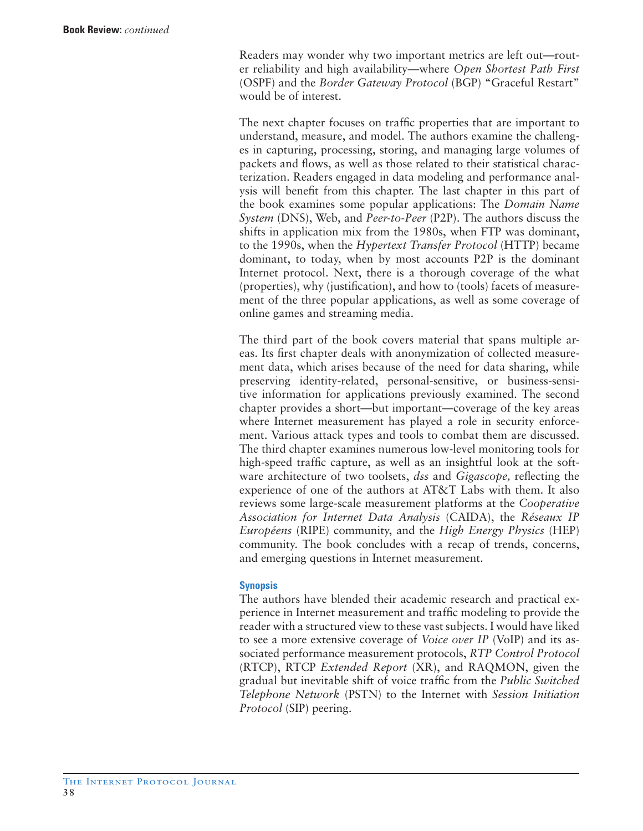Readers may wonder why two important metrics are left out—router reliability and high availability—where *Open Shortest Path First* (OSPF) and the *Border Gateway Protocol* (BGP) "Graceful Restart" would be of interest.

The next chapter focuses on traffic properties that are important to understand, measure, and model. The authors examine the challenges in capturing, processing, storing, and managing large volumes of packets and flows, as well as those related to their statistical characterization. Readers engaged in data modeling and performance analysis will benefit from this chapter. The last chapter in this part of the book examines some popular applications: The *Domain Name System* (DNS), Web, and *Peer-to-Peer* (P2P). The authors discuss the shifts in application mix from the 1980s, when FTP was dominant, to the 1990s, when the *Hypertext Transfer Protocol* (HTTP) became dominant, to today, when by most accounts P2P is the dominant Internet protocol. Next, there is a thorough coverage of the what (properties), why (justification), and how to (tools) facets of measurement of the three popular applications, as well as some coverage of online games and streaming media.

The third part of the book covers material that spans multiple areas. Its first chapter deals with anonymization of collected measurement data, which arises because of the need for data sharing, while preserving identity-related, personal-sensitive, or business-sensitive information for applications previously examined. The second chapter provides a short—but important—coverage of the key areas where Internet measurement has played a role in security enforcement. Various attack types and tools to combat them are discussed. The third chapter examines numerous low-level monitoring tools for high-speed traffic capture, as well as an insightful look at the software architecture of two toolsets, *dss* and *Gigascope,* reflecting the experience of one of the authors at AT&T Labs with them. It also reviews some large-scale measurement platforms at the *Cooperative Association for Internet Data Analysis* (CAIDA), the *Réseaux IP Européens* (RIPE) community, and the *High Energy Physics* (HEP) community. The book concludes with a recap of trends, concerns, and emerging questions in Internet measurement.

# **Synopsis**

The authors have blended their academic research and practical experience in Internet measurement and traffic modeling to provide the reader with a structured view to these vast subjects. I would have liked to see a more extensive coverage of *Voice over IP* (VoIP) and its associated performance measurement protocols, *RTP Control Protocol* (RTCP), RTCP *Extended Report* (XR), and RAQMON, given the gradual but inevitable shift of voice traffic from the *Public Switched Telephone Network* (PSTN) to the Internet with *Session Initiation Protocol* (SIP) peering.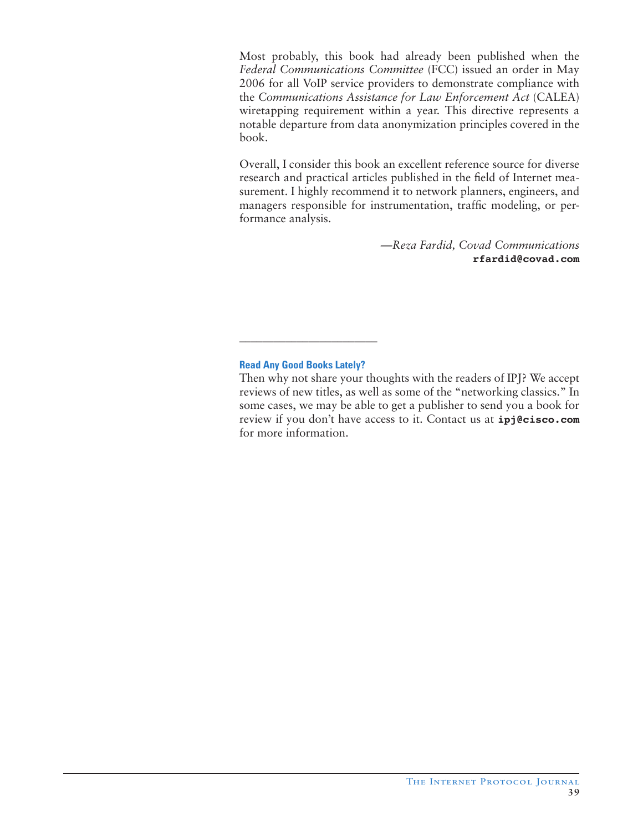Most probably, this book had already been published when the *Federal Communications Committee* (FCC) issued an order in May 2006 for all VoIP service providers to demonstrate compliance with the *Communications Assistance for Law Enforcement Act* (CALEA) wiretapping requirement within a year. This directive represents a notable departure from data anonymization principles covered in the book.

Overall, I consider this book an excellent reference source for diverse research and practical articles published in the field of Internet measurement. I highly recommend it to network planners, engineers, and managers responsible for instrumentation, traffic modeling, or performance analysis.

> *—Reza Fardid, Covad Communications* **rfardid@covad.com**

# **Read Any Good Books Lately?**

\_\_\_\_\_\_\_\_\_\_\_\_\_\_\_\_\_\_\_\_\_\_\_\_

Then why not share your thoughts with the readers of IPJ? We accept reviews of new titles, as well as some of the "networking classics." In some cases, we may be able to get a publisher to send you a book for review if you don't have access to it. Contact us at **ipj@cisco.com** for more information.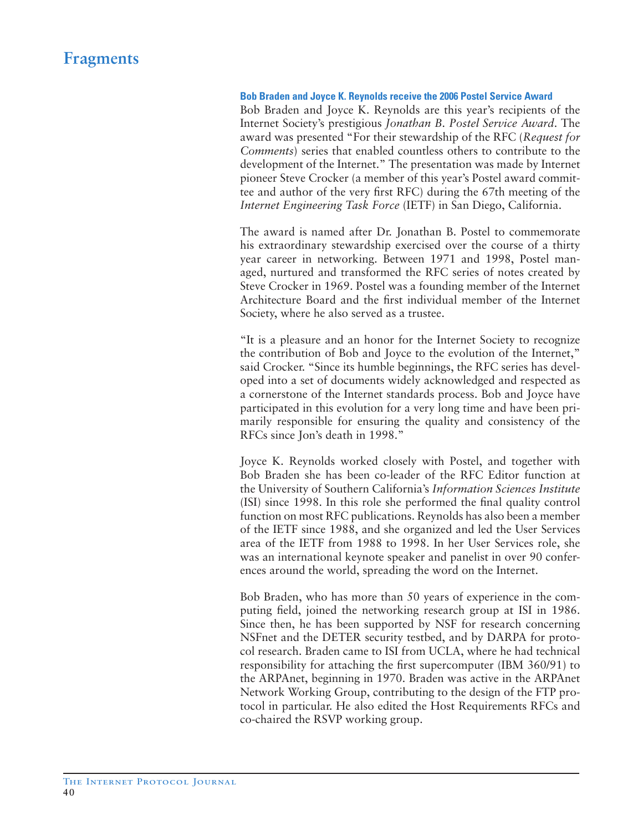# **Fragments**

#### **Bob Braden and Joyce K. Reynolds receive the 2006 Postel Service Award**

Bob Braden and Joyce K. Reynolds are this year's recipients of the Internet Society's prestigious *Jonathan B. Postel Service Award*. The award was presented "For their stewardship of the RFC (*Request for Comments*) series that enabled countless others to contribute to the development of the Internet." The presentation was made by Internet pioneer Steve Crocker (a member of this year's Postel award committee and author of the very first RFC) during the 67th meeting of the *Internet Engineering Task Force* (IETF) in San Diego, California.

The award is named after Dr. Jonathan B. Postel to commemorate his extraordinary stewardship exercised over the course of a thirty year career in networking. Between 1971 and 1998, Postel managed, nurtured and transformed the RFC series of notes created by Steve Crocker in 1969. Postel was a founding member of the Internet Architecture Board and the first individual member of the Internet Society, where he also served as a trustee.

"It is a pleasure and an honor for the Internet Society to recognize the contribution of Bob and Joyce to the evolution of the Internet," said Crocker. "Since its humble beginnings, the RFC series has developed into a set of documents widely acknowledged and respected as a cornerstone of the Internet standards process. Bob and Joyce have participated in this evolution for a very long time and have been primarily responsible for ensuring the quality and consistency of the RFCs since Jon's death in 1998."

Joyce K. Reynolds worked closely with Postel, and together with Bob Braden she has been co-leader of the RFC Editor function at the University of Southern California's *Information Sciences Institute* (ISI) since 1998. In this role she performed the final quality control function on most RFC publications. Reynolds has also been a member of the IETF since 1988, and she organized and led the User Services area of the IETF from 1988 to 1998. In her User Services role, she was an international keynote speaker and panelist in over 90 conferences around the world, spreading the word on the Internet.

Bob Braden, who has more than 50 years of experience in the computing field, joined the networking research group at ISI in 1986. Since then, he has been supported by NSF for research concerning NSFnet and the DETER security testbed, and by DARPA for protocol research. Braden came to ISI from UCLA, where he had technical responsibility for attaching the first supercomputer (IBM 360/91) to the ARPAnet, beginning in 1970. Braden was active in the ARPAnet Network Working Group, contributing to the design of the FTP protocol in particular. He also edited the Host Requirements RFCs and co-chaired the RSVP working group.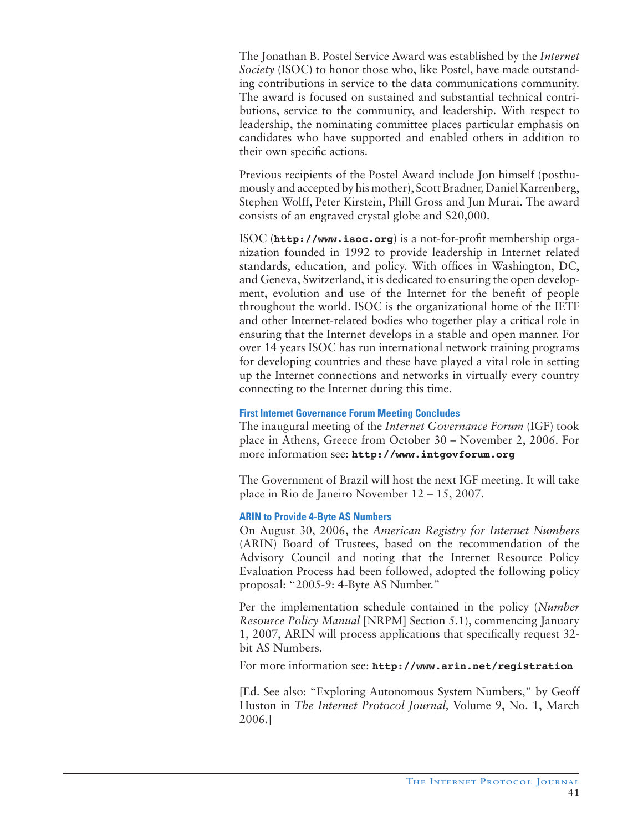The Jonathan B. Postel Service Award was established by the *Internet Society* (ISOC) to honor those who, like Postel, have made outstanding contributions in service to the data communications community. The award is focused on sustained and substantial technical contributions, service to the community, and leadership. With respect to leadership, the nominating committee places particular emphasis on candidates who have supported and enabled others in addition to their own specific actions.

Previous recipients of the Postel Award include Jon himself (posthumously and accepted by his mother), Scott Bradner, Daniel Karrenberg, Stephen Wolff, Peter Kirstein, Phill Gross and Jun Murai. The award consists of an engraved crystal globe and \$20,000.

ISOC (**http://www.isoc.org**) is a not-for-profit membership organization founded in 1992 to provide leadership in Internet related standards, education, and policy. With offices in Washington, DC, and Geneva, Switzerland, it is dedicated to ensuring the open development, evolution and use of the Internet for the benefit of people throughout the world. ISOC is the organizational home of the IETF and other Internet-related bodies who together play a critical role in ensuring that the Internet develops in a stable and open manner. For over 14 years ISOC has run international network training programs for developing countries and these have played a vital role in setting up the Internet connections and networks in virtually every country connecting to the Internet during this time.

# **First Internet Governance Forum Meeting Concludes**

The inaugural meeting of the *Internet Governance Forum* (IGF) took place in Athens, Greece from October 30 – November 2, 2006. For more information see: **http://www.intgovforum.org**

The Government of Brazil will host the next IGF meeting. It will take place in Rio de Janeiro November 12 – 15, 2007.

# **ARIN to Provide 4-Byte AS Numbers**

On August 30, 2006, the *American Registry for Internet Numbers*  (ARIN) Board of Trustees, based on the recommendation of the Advisory Council and noting that the Internet Resource Policy Evaluation Process had been followed, adopted the following policy proposal: "2005-9: 4-Byte AS Number."

Per the implementation schedule contained in the policy (*Number Resource Policy Manual* [NRPM] Section 5.1), commencing January 1, 2007, ARIN will process applications that specifically request 32 bit AS Numbers.

For more information see: **http://www.arin.net/registration**

[Ed. See also: "Exploring Autonomous System Numbers," by Geoff Huston in *The Internet Protocol Journal,* Volume 9, No. 1, March 2006.]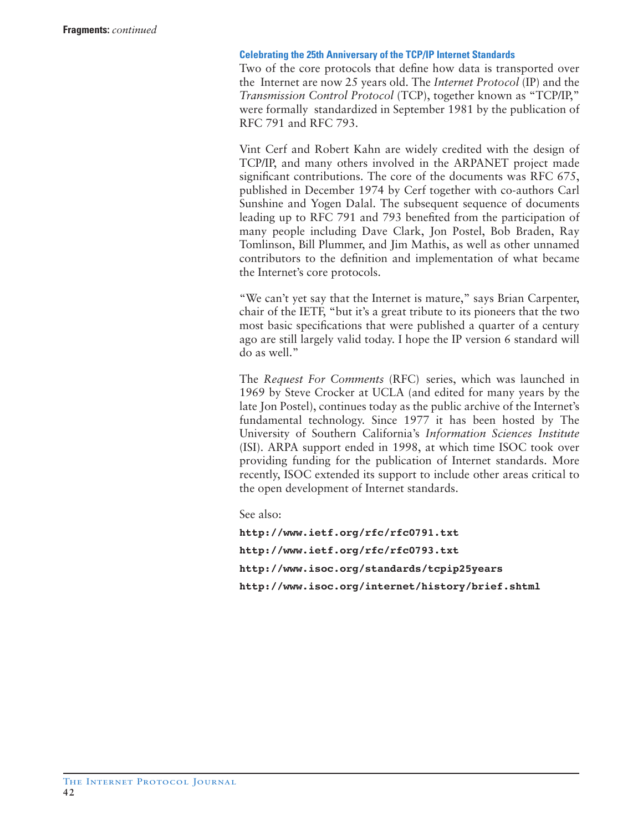# **Celebrating the 25th Anniversary of the TCP/IP Internet Standards**

Two of the core protocols that define how data is transported over the Internet are now 25 years old. The *Internet Protocol* (IP) and the *Transmission Control Protocol* (TCP), together known as "TCP/IP," were formally standardized in September 1981 by the publication of RFC 791 and RFC 793.

Vint Cerf and Robert Kahn are widely credited with the design of TCP/IP, and many others involved in the ARPANET project made significant contributions. The core of the documents was RFC 675, published in December 1974 by Cerf together with co-authors Carl Sunshine and Yogen Dalal. The subsequent sequence of documents leading up to RFC 791 and 793 benefited from the participation of many people including Dave Clark, Jon Postel, Bob Braden, Ray Tomlinson, Bill Plummer, and Jim Mathis, as well as other unnamed contributors to the definition and implementation of what became the Internet's core protocols.

"We can't yet say that the Internet is mature," says Brian Carpenter, chair of the IETF, "but it's a great tribute to its pioneers that the two most basic specifications that were published a quarter of a century ago are still largely valid today. I hope the IP version 6 standard will do as well."

The *Request For Comments* (RFC) series, which was launched in 1969 by Steve Crocker at UCLA (and edited for many years by the late Jon Postel), continues today as the public archive of the Internet's fundamental technology. Since 1977 it has been hosted by The University of Southern California's *Information Sciences Institute* (ISI). ARPA support ended in 1998, at which time ISOC took over providing funding for the publication of Internet standards. More recently, ISOC extended its support to include other areas critical to the open development of Internet standards.

See also:

**http://www.ietf.org/rfc/rfc0791.txt http://www.ietf.org/rfc/rfc0793.txt http://www.isoc.org/standards/tcpip25years http://www.isoc.org/internet/history/brief.shtml**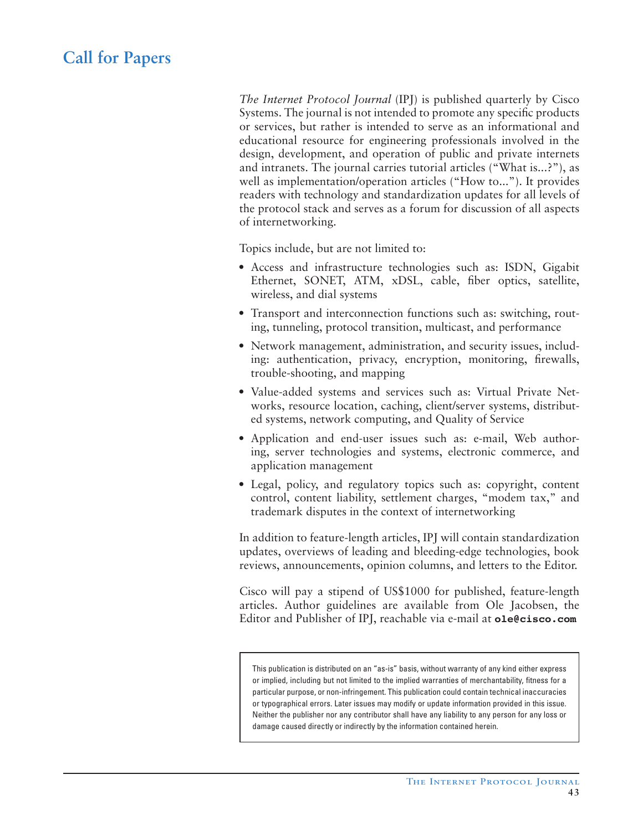# **Call for Papers**

*The Internet Protocol Journal* (IPJ) is published quarterly by Cisco Systems. The journal is not intended to promote any specific products or services, but rather is intended to serve as an informational and educational resource for engineering professionals involved in the design, development, and operation of public and private internets and intranets. The journal carries tutorial articles ("What is...?"), as well as implementation/operation articles ("How to..."). It provides readers with technology and standardization updates for all levels of the protocol stack and serves as a forum for discussion of all aspects of internetworking.

Topics include, but are not limited to:

- Access and infrastructure technologies such as: ISDN, Gigabit Ethernet, SONET, ATM, xDSL, cable, fiber optics, satellite, wireless, and dial systems
- Transport and interconnection functions such as: switching, routing, tunneling, protocol transition, multicast, and performance
- Network management, administration, and security issues, including: authentication, privacy, encryption, monitoring, firewalls, trouble-shooting, and mapping
- Value-added systems and services such as: Virtual Private Networks, resource location, caching, client/server systems, distributed systems, network computing, and Quality of Service
- Application and end-user issues such as: e-mail, Web authoring, server technologies and systems, electronic commerce, and application management
- Legal, policy, and regulatory topics such as: copyright, content control, content liability, settlement charges, "modem tax," and trademark disputes in the context of internetworking

In addition to feature-length articles, IPJ will contain standardization updates, overviews of leading and bleeding-edge technologies, book reviews, announcements, opinion columns, and letters to the Editor.

Cisco will pay a stipend of US\$1000 for published, feature-length articles. Author guidelines are available from Ole Jacobsen, the Editor and Publisher of IPJ, reachable via e-mail at **ole@cisco.com**

This publication is distributed on an "as-is" basis, without warranty of any kind either express or implied, including but not limited to the implied warranties of merchantability, fitness for a particular purpose, or non-infringement. This publication could contain technical inaccuracies or typographical errors. Later issues may modify or update information provided in this issue. Neither the publisher nor any contributor shall have any liability to any person for any loss or damage caused directly or indirectly by the information contained herein.